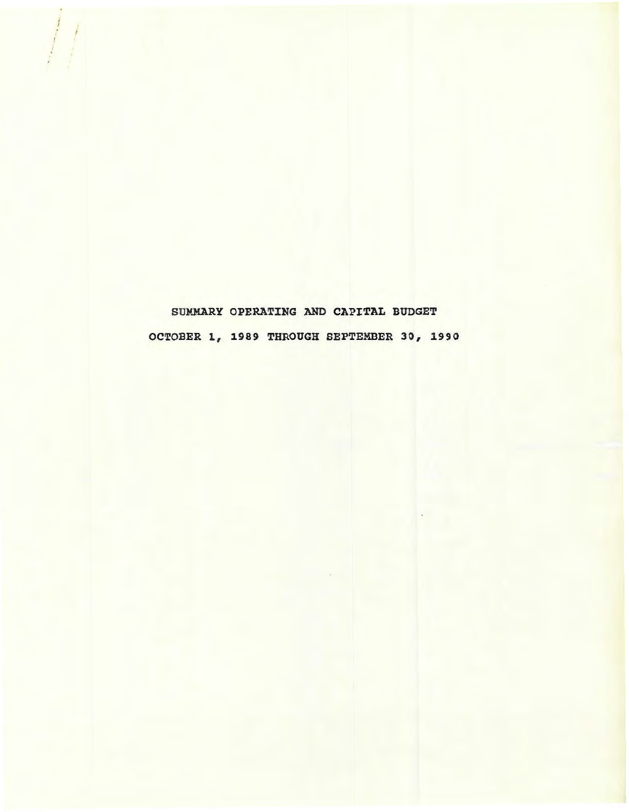SUMMARY OPERATING AND CAPITAL BUDGET OCTOBER 1, 1989 THROUGH SEPTEMBER 30, 1990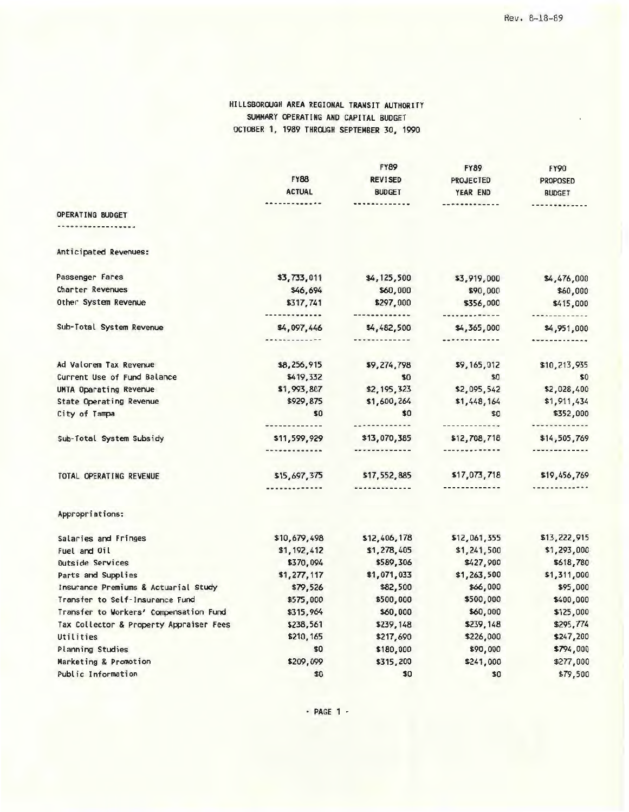#### HILLSBORQUGH AREA REGIONAL TRANSIT AUTHORITY SUMMARY OPERATING AND CAPITAL BUDGET OCTOBER 1, 1989 THROUGH SEPTEMBER 30, 1990

|                                         |               | <b>FY89</b>    | <b>FY89</b>           | <b>FY90</b>          |
|-----------------------------------------|---------------|----------------|-----------------------|----------------------|
|                                         | <b>FY88</b>   | <b>REVISED</b> | <b>PROJECTED</b>      | PROPOSED             |
|                                         | <b>ACTUAL</b> | <b>BUDGET</b>  | YEAR END              | <b>BUDGET</b>        |
|                                         |               | .              | -------------         |                      |
| OPERATING BUDGET                        |               |                |                       |                      |
|                                         |               |                |                       |                      |
| Anticipated Revenues:                   |               |                |                       |                      |
| Passenger Fares                         | \$3,733,011   | \$4,125,500    | \$3,919,000           | \$4,476,000          |
| Charter Revenues                        | \$46,694      | \$60,000       | \$90,000              | \$60,000             |
| Other System Revenue                    | \$317,741     | \$297,000      | \$356,000             | \$415,000            |
|                                         | ------------- | -------------  | -------------         | -------------        |
| Sub-Total System Revenue                | \$4,097,446   | \$4,482,500    | \$4,365,000           | \$4,951,000          |
|                                         | ------------- | -------------  |                       | *************        |
| Ad Valorem Tax Revenue                  | \$8,256,915   | \$9,274,798    | \$9,165,012           | \$10,213,935         |
| Current Use of Fund Balance             | \$419,332     | \$0            | \$0                   | \$0                  |
| UMTA Oparating Revenue                  | \$1,993,807   | \$2,195,323    | \$2,095,542           | \$2,028,400          |
| State Operating Revenue                 | \$929,875     | \$1,600,264    | \$1,448,164           | \$1,911,434          |
| City of Tampa                           | \$0           | \$0            | \$0                   | \$352,000            |
|                                         |               |                | -------------         | <b>*************</b> |
| Sub-Total System Subsidy                | \$11,599,929  | \$13,070,385   | \$12,708,718          | \$14,505,769         |
|                                         | ------------- | -------------  | -------------         | -------------        |
| TOTAL OPERATING REVENUE                 | \$15,697,375  | \$17,552,885   | \$17,073,718          | \$19,456,769         |
|                                         |               | ------------   | ---------- <i>-</i> - |                      |
| Appropriations:                         |               |                |                       |                      |
| Salaries and Fringes                    | \$10,679,498  | \$12,406,178   | \$12,061,355          | \$13,222,915         |
| Fuel and Oil                            | \$1,192,412   | \$1,278,405    | \$1,241,500           | \$1,293,000          |
| Outside Services                        | \$370,094     | \$589,306      | \$427,900             | \$618,780            |
| Parts and Supplies                      | \$1,277,117   | \$1,071,033    | \$1,263,500           | \$1,311,000          |
| Insurance Premiums & Actuarial Study    | \$79,526      | \$82,500       | \$66,000              | \$95,000             |
| Transfer to Self-Insurance Fund         | \$575,000     | \$500,000      | \$500,000             | \$400,000            |
| Transfer to Workers' Compensation Fund  | \$315,964     | \$60,000       | \$60,000              | \$125,000            |
| Tax Collector & Property Appraiser Fees | \$238,561     | \$239,148      | \$239,148             | \$295,774            |
| Utilities                               | \$210,165     | \$217,690      | \$226,000             | \$247,200            |
| Planning Studies                        | \$0           | \$180,000      | \$90,000              | \$794,000            |
| Marketing & Promotion                   | \$209,099     | \$315,200      | \$241,000             | \$277,000            |
| Public Information                      | \$0           | \$0            | \$0                   | \$79,500             |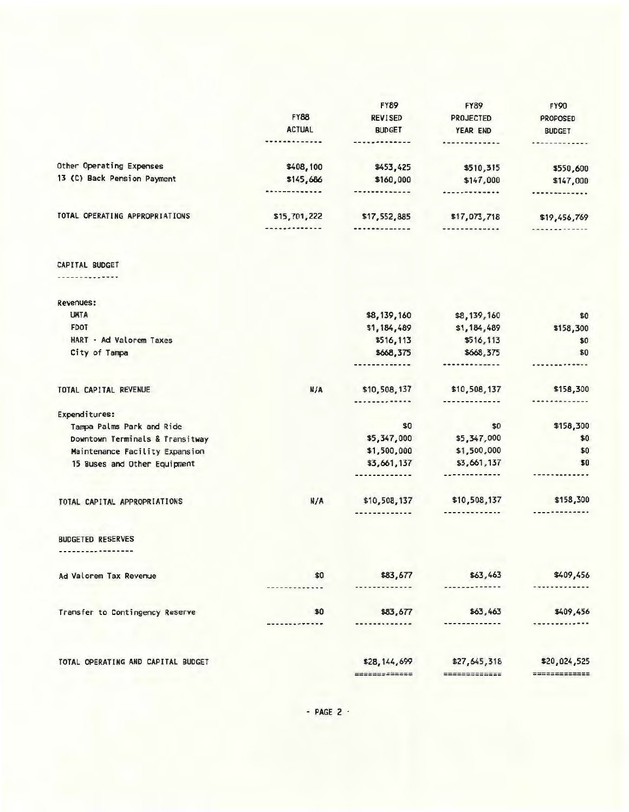|                                    |                   | <b>FY89</b>         | <b>FY89</b>          | <b>FY90</b>          |
|------------------------------------|-------------------|---------------------|----------------------|----------------------|
|                                    | <b>FY88</b>       | <b>REVISED</b>      | PROJECTED            | <b>PROPOSED</b>      |
|                                    | <b>ACTUAL</b>     | <b>BUDGET</b>       | YEAR END             | <b>BUDGET</b>        |
|                                    | <b>**********</b> | -------------       | <b>*-----------</b>  | <b>************</b>  |
| Other Operating Expenses           | \$408,100         | \$453,425           | \$510,315            | \$550,600            |
| 13 (C) Back Pension Payment        | \$145,686         | \$160,000           | \$147,000            | \$147,000            |
|                                    | *************     | -------------       | <b>*************</b> |                      |
| TOTAL OPERATING APPROPRIATIONS     | \$15,701,222      | \$17,552,885        | \$17,073,718         | \$19,456,769         |
|                                    | -------------     | -------------       | <b>*************</b> | ------------         |
| CAPITAL BUDGET                     |                   |                     |                      |                      |
| ------------                       |                   |                     |                      |                      |
| Revenues:                          |                   |                     |                      |                      |
| <b>UMTA</b>                        |                   | \$8,139,160         | \$8,139,160          | \$0                  |
| <b>FDOT</b>                        |                   | \$1,184,489         | \$1,184,489          | \$158,300            |
| HART - Ad Valorem Taxes            |                   | \$516,113           | \$516,113            | \$0                  |
| City of Tampa                      |                   | \$668,375           | \$668,375            | \$0                  |
|                                    |                   | -----------         | -------------        |                      |
| TOTAL CAPITAL REVENUE              | N/A               | \$10,508,137        | \$10,508,137         | \$158,300            |
| Expenditures:                      |                   |                     | -------------        | <b>*************</b> |
| Tampa Palms Park and Ride          |                   | \$0                 | \$0                  | \$158,300            |
| Downtown Terminals & Transitway    |                   | \$5,347,000         | \$5,347,000          | \$0                  |
| Maintenance Facility Expansion     |                   | \$1,500,000         | \$1,500,000          | \$0                  |
| 15 Buses and Other Equipment       |                   | \$3,661,137         | \$3,661,137          | \$0                  |
|                                    |                   | ------------        | ------------         | -------------        |
| TOTAL CAPITAL APPROPRIATIONS       | N/A               | \$10,508,137        | \$10,508,137         | \$158,300            |
|                                    |                   |                     | -------------        | -------------        |
| <b>BUDGETED RESERVES</b>           |                   |                     |                      |                      |
| ---------------                    |                   |                     |                      |                      |
| Ad Valorem Tax Revenue             | \$0               | \$83,677            | \$63,463             | \$409,456            |
|                                    |                   |                     |                      |                      |
| Transfer to Contingency Reserve    | \$0               | \$83,677            | \$63,463             | \$409,456            |
|                                    |                   |                     |                      |                      |
| TOTAL OPERATING AND CAPITAL BUDGET |                   | \$28,144,699        | \$27,645,318         | \$20,024,525         |
|                                    |                   | <b>EMERGESSEESE</b> | *************        | =============        |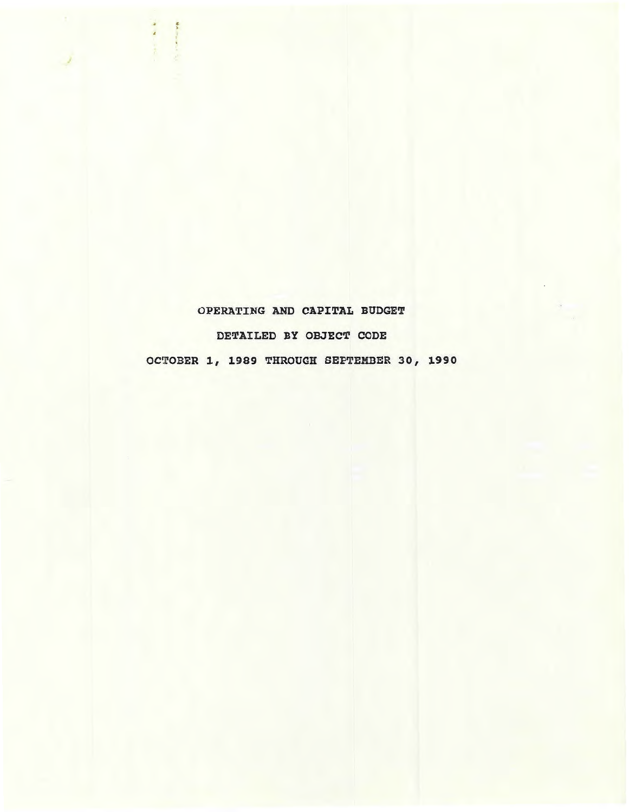# OPERATING AND CAPITAL BUDGET DETAILED BY OBJECT CODE OCTOBER 1, 1989 THROUGH SEPTEMBER 30, 1990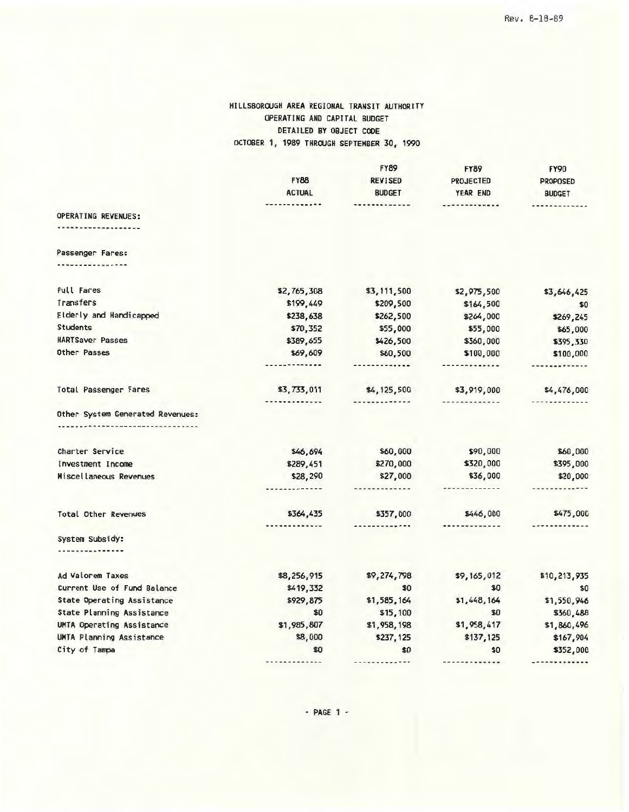### HILLSBOROUGH AREA REGIONAL TRANSIT AUTHORITY OPERATING AND CAPITAL BUDGET DETAILED BY OBJECT CODE OCTOBER 1, 1989 THROUGH SEPTEMBER 30, 1990

|                                  |                    | <b>FY89</b>           | <b>FY89</b>          | <b>FY90</b>     |
|----------------------------------|--------------------|-----------------------|----------------------|-----------------|
|                                  | <b>FY88</b>        | <b>REVISED</b>        | <b>PROJECTED</b>     | <b>PROPOSED</b> |
|                                  | <b>ACTUAL</b>      | <b>BUDGET</b>         | YEAR END             | <b>BUDGET</b>   |
|                                  |                    | ----------            | ----------- <b>-</b> |                 |
| OPERATING REVENUES:              |                    |                       |                      |                 |
|                                  |                    |                       |                      |                 |
| Passenger Fares:                 |                    |                       |                      |                 |
|                                  |                    |                       |                      |                 |
| <b>Full Fares</b>                | \$2,765,308        | \$3,111,500           | \$2,975,500          | \$3,646,425     |
| Transfers                        | \$199,449          | \$209,500             | \$164,500            | \$0             |
| Elderly and Handicapped          | \$238,638          | \$262,500             | \$264,000            | \$269,245       |
| <b>Students</b>                  | \$70,352           | \$55,000              | \$55,000             | \$65,000        |
| <b>HARTSaver Passes</b>          | \$389,655          | \$426,500             | \$360,000            | \$395,330       |
| Other Passes                     | \$69,609           | \$60,500              | \$100,000            | \$100,000       |
|                                  | -----------        |                       | -------------        | -------------   |
| Total Passenger Fares            | \$3,733,011        | \$4,125,500           | \$3,919,000          | \$4,476,000     |
|                                  | <b>***********</b> | -------------         | -------------        |                 |
| Other System Generated Revenues: |                    |                       |                      |                 |
|                                  |                    |                       |                      |                 |
| Charter Service                  | \$46,694           | \$60,000              | \$90,000             | \$60,000        |
| Investment Income                | \$289,451          | \$270,000             | \$320,000            | \$395,000       |
| Miscellaneous Revenues           | \$28,290           | \$27,000              | \$36,000             | \$20,000        |
|                                  |                    | -------------         | *************        | -------------   |
| <b>Total Other Revenues</b>      | \$364,435          | \$357,000             | \$446,000            | \$475,000       |
|                                  |                    | ---------- <i>-</i> - |                      |                 |
| System Subsidy:                  |                    |                       |                      |                 |
| -------------                    |                    |                       |                      |                 |
| Ad Valorem Taxes                 | \$8,256,915        | \$9,274,798           | \$9,165,012          | \$10,213,935    |
| Current Use of Fund Balance      | \$419,332          | \$0                   | \$0                  | \$0             |
| State Operating Assistance       | \$929,875          | \$1,585,164           | \$1,448,164          | \$1,550,946     |
| State Planning Assistance        | \$0                | \$15,100              | \$0                  | \$360,488       |
| UMTA Operating Assistance        | \$1,985,807        | \$1,958,198           | \$1,958,417          | \$1,860,496     |
| UMTA Planning Assistance         | \$8,000            | \$237,125             | \$137,125            | \$167,904       |
| City of Tampa                    | \$0                | \$0                   | \$0                  | \$352,000       |
|                                  |                    |                       | -------------        | -------------   |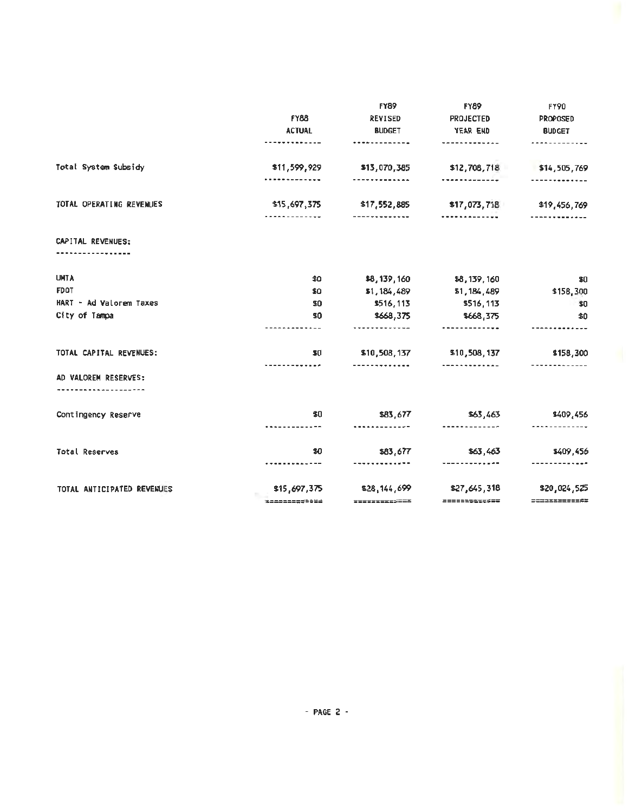|                            |                              | <b>FY89</b>          | <b>FY89</b>                                         | FY90                             |
|----------------------------|------------------------------|----------------------|-----------------------------------------------------|----------------------------------|
|                            | <b>FY88</b><br><b>ACTUAL</b> | <b>REVISED</b>       | <b>PROJECTED</b><br>YEAR END                        | <b>PROPOSED</b><br><b>BUDGET</b> |
|                            |                              | <b>BUDGET</b>        |                                                     |                                  |
|                            | --- <b>------</b> ----       | -------------        | ------- <b>----</b> --                              |                                  |
| Total System Subsidy       | \$11,599,929                 | \$13,070,385         | \$12,708,718                                        | \$14,505,769                     |
|                            |                              | -------------        | <b>*************</b> *                              |                                  |
| TOTAL OPERATING REVENUES   |                              |                      | \$15,697,375 \$17,552,885 \$17,073,718 \$19,456,769 |                                  |
|                            | -----------                  | -------------        |                                                     |                                  |
| CAPITAL REVENUES:          |                              |                      |                                                     |                                  |
| .                          |                              |                      |                                                     |                                  |
| <b>UMTA</b>                | \$0                          |                      | \$8,139,160 \$8,139,160                             | \$0                              |
| <b>FDOT</b>                | \$0                          | \$1,184,489          | \$1,184,489                                         | \$158.300                        |
| HART - Ad Valorem Taxes    | \$0                          | \$516,113            | \$516,113                                           | $\sim 0$                         |
| City of Tampa              | 50                           | \$668,375            | \$668,375                                           | \$0                              |
|                            | -------------                | <b></b>              |                                                     |                                  |
| TOTAL CAPITAL REVENUES:    | \$0                          |                      | \$10,508,137 \$10,508,137                           | \$158,300                        |
|                            | -------- <b>---</b>          | -------------        | --------------                                      |                                  |
| AD VALOREM RESERVES:       |                              |                      |                                                     |                                  |
| Contingency Reserve        | \$0                          | \$83,677             | \$63,463                                            | \$409,456                        |
|                            | <b></b>                      | <b>*************</b> |                                                     |                                  |
| Total Reserves             | \$0                          | \$83,677             | \$63,463                                            | \$409,456                        |
|                            |                              | -------------        |                                                     |                                  |
| TOTAL ANTICIPATED REVENJES | \$15,697,375                 | \$28,144,699         | \$27,645,318                                        | \$20,024,525                     |
|                            | $= 122222277788444$          | ==============       | =============                                       |                                  |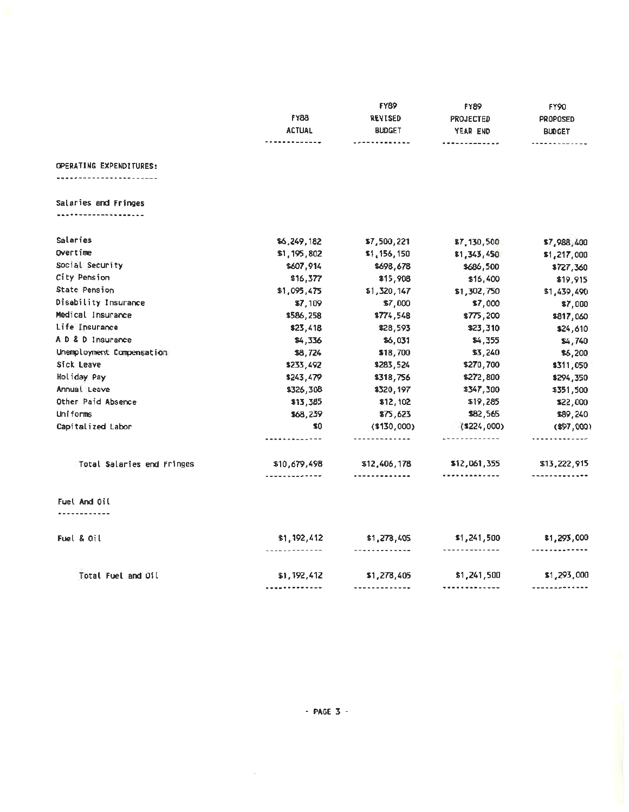|                                                 | <b>FY88</b><br><b>ACTUAL</b><br>------------- | <b>FY89</b><br><b>REVISED</b><br><b>BUDGET</b><br>------------- | <b>FY89</b><br>PROJECTED<br>YEAR END<br> | <b>FY90</b><br><b>PROPOSED</b><br><b>BUDGET</b><br><b>*****</b> ******* |
|-------------------------------------------------|-----------------------------------------------|-----------------------------------------------------------------|------------------------------------------|-------------------------------------------------------------------------|
| OPERATING EXPENDITURES:<br>-------------------- |                                               |                                                                 |                                          |                                                                         |
|                                                 |                                               |                                                                 |                                          |                                                                         |
| Salaries and Fringes<br><b></b>                 |                                               |                                                                 |                                          |                                                                         |
| Salaries                                        | \$6,249,182                                   | \$7,500,221                                                     |                                          |                                                                         |
| Overtime                                        | \$1,195,802                                   | \$1,156,150                                                     | \$7,130,500<br>\$1,343,450               | \$7,988,400                                                             |
| Social Security                                 | \$607,914                                     | \$698,678                                                       | \$686,500                                | \$1,217,000                                                             |
| City Pension                                    | \$16,377                                      | \$15,908                                                        | \$16,400                                 | \$727,360<br>\$19,915                                                   |
| State Pension                                   | \$1,095,475                                   | \$1,320,147                                                     | \$1,302,750                              | \$1,439,490                                                             |
| Disability Insurance                            | \$7,109                                       | \$7,000                                                         | \$7,000                                  | \$7,000                                                                 |
| Medical Insurance                               | \$586,258                                     | \$774,548                                                       | \$775,200                                | \$817,060                                                               |
| Life Insurance                                  | \$23,418                                      | \$28,593                                                        | \$23,310                                 | \$24,610                                                                |
| A D & D Insurance                               | \$4,336                                       | \$6,031                                                         | \$4,355                                  | \$4,740                                                                 |
| Unemployment Compensation                       | \$8,724                                       | \$18,700                                                        | \$3,240                                  | \$6,200                                                                 |
| Sick Leave                                      | \$233,492                                     | \$283,524                                                       | \$270,700                                | \$311,050                                                               |
| Holiday Pay                                     | \$243,479                                     | \$318,756                                                       | \$272,800                                | \$294,350                                                               |
| Annual Leave                                    | \$326,308                                     | \$320,197                                                       | \$347,300                                | \$351,500                                                               |
| Other Paid Absence                              | \$13,385                                      | \$12,102                                                        | \$19,285                                 | \$22,000                                                                |
| Uniforms                                        | \$68,239                                      | \$75,623                                                        | \$82,565                                 | \$89,240                                                                |
| Capitalized Labor                               | \$0                                           | $(*130,000)$                                                    | $($ \$224,000)                           | $(*97,000)$                                                             |
|                                                 | -------------                                 | -------- <b>----</b> -                                          | .                                        | . <i>.</i>                                                              |
| Total Salaries end Fringes                      | \$10,679,498<br>-------------                 | \$12,406,178<br>                                                | \$12,061,355<br><b></b>                  | \$13,222,915<br>-------------                                           |
| Fuel And Oil<br>.                               |                                               |                                                                 |                                          |                                                                         |
| Fuel & Oil                                      | \$1,192,412                                   | \$1,278,405                                                     | \$1,241,500                              | \$1,293,000                                                             |
|                                                 | -------------                                 | -------------                                                   | -------------                            | -------------                                                           |
| Total Fuel and Oil                              | \$1,192,412                                   | \$1,278,405                                                     | \$1,241,500                              | \$1,293,000                                                             |
|                                                 | <b>-----------</b> --                         | -------------                                                   | <b>*************</b>                     | -------------                                                           |

 $\sim 10^{-10}$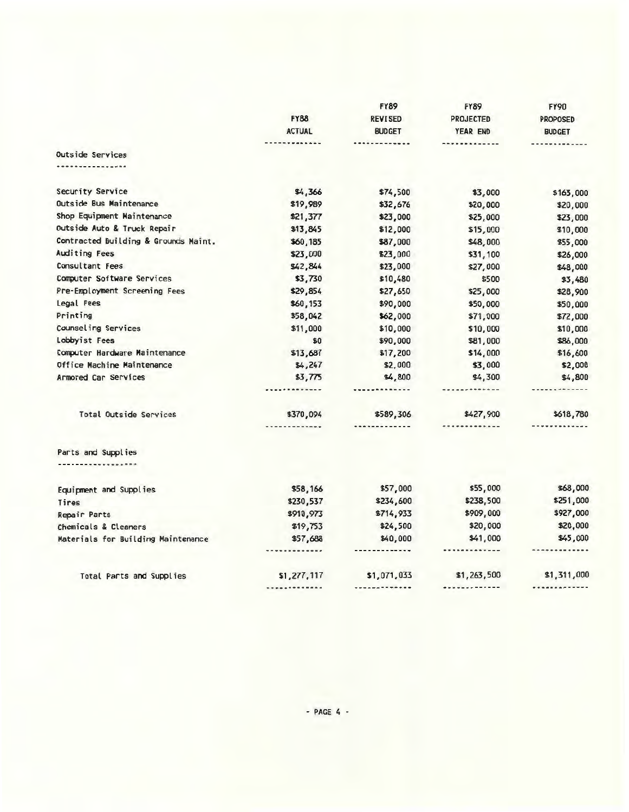|                                      |                           | <b>FY89</b>                 | <b>FY89</b>      | <b>FY90</b>                |
|--------------------------------------|---------------------------|-----------------------------|------------------|----------------------------|
|                                      | <b>FY88</b>               | <b>REVISED</b>              | <b>PROJECTED</b> | <b>PROPOSED</b>            |
|                                      | <b>ACTUAL</b>             | <b>BUDGET</b>               | YEAR END         | <b>BUDGET</b>              |
|                                      | ------ <b>-----</b> --    | -------------               | ------------     |                            |
| Outside Services                     |                           |                             |                  |                            |
| --------------                       |                           |                             |                  |                            |
| Security Service                     | \$4,366                   | \$74,500                    | \$3,000          | \$163,000                  |
| Outside Bus Maintenance              | \$19,989                  | \$32,676                    | \$20,000         | \$20,000                   |
| Shop Equipment Maintenance           | \$21,377                  | \$23,000                    | \$25,000         | \$23,000                   |
| Outside Auto & Truck Repair          | \$13,845                  | \$12,000                    | \$15,000         | \$10,000                   |
| Contracted Building & Grounds Maint. | \$60,185                  | \$87,000                    | \$48,000         | \$55,000                   |
| Auditing Fees                        | \$23,000                  | \$23,000                    | \$31,100         | \$26,000                   |
| Consultant Fees                      | \$42,844                  | \$23,000                    | \$27,000         | \$48,000                   |
| Computer Software Services           | \$3,730                   | \$10,480                    | \$500            | \$3,480                    |
| Pre-Employment Screening Fees        | \$29,854                  | \$27,650                    | \$25,000         | \$28,900                   |
| Legal Fees                           | \$60,153                  | \$90,000                    | \$50,000         | \$50,000                   |
| Printing                             | \$58,042                  | \$62,000                    | \$71,000         | \$72,000                   |
| Counseling Services                  | \$11,000                  | \$10,000                    | \$10,000         | \$10,000                   |
| Lobbyist Fees                        | \$0                       | \$90,000                    | \$81,000         | \$86,000                   |
| Computer Hardware Maintenance        | \$13,687                  | \$17,200                    | \$14,000         | \$16,600                   |
| Office Machine Maintenance           | \$4,247                   | \$2,000                     | \$3,000          | \$2,000                    |
| Armored Car Services                 | \$3,775                   | \$4,800                     | \$4,300          | \$4,800                    |
|                                      |                           | <u></u>                     | -------------    | ************               |
| Total Outside Services               | \$370,094<br>. <b>.</b> . | \$589,306<br>. . <i>.</i> . | \$427,900<br>    | \$618,780<br>------------- |
|                                      |                           |                             |                  |                            |
| Parts and Supplies<br>. <b>.</b> .   |                           |                             |                  |                            |
|                                      |                           |                             |                  |                            |
| Equipment and Supplies               | \$58,166                  | \$57,000                    | \$55,000         | \$68,000                   |
| Tires                                | \$230,537                 | \$234,600                   | \$238,500        | \$251,000                  |
| Repair Parts                         | \$910,973                 | \$714,933                   | \$909,000        | \$927,000                  |
| Chemicals & Cleaners                 | \$19,753                  | \$24,500                    | \$20,000         | \$20,000                   |
| Materials for Building Maintenance   | \$57,688                  | \$40,000                    | \$41,000         | \$45,000                   |
|                                      |                           | .                           | . <i>.</i>       |                            |
| Total Parts and Supplies             | \$1,277,117               | \$1,071,033                 | \$1,263,500      | \$1,311,000                |
|                                      |                           |                             |                  |                            |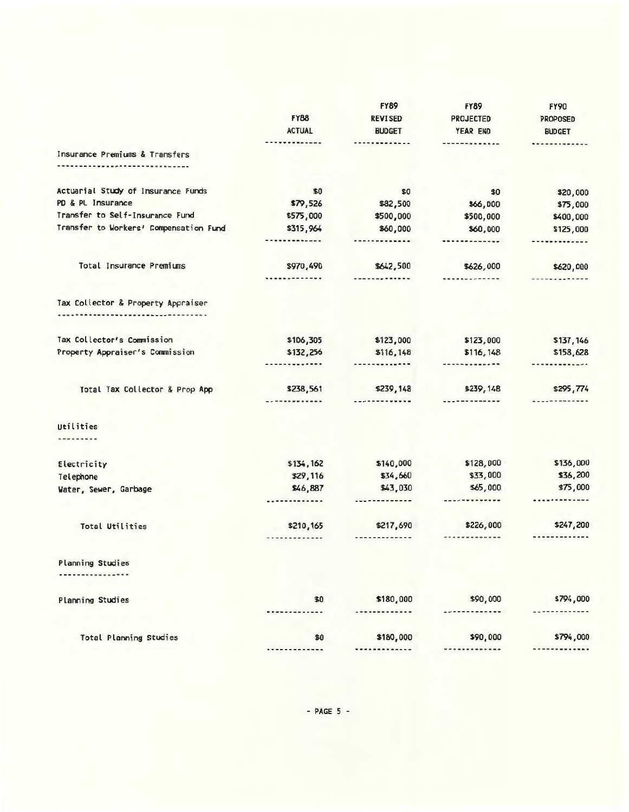|                                        |                   | <b>FY89</b>            | <b>FY89</b>          | <b>FY90</b>        |
|----------------------------------------|-------------------|------------------------|----------------------|--------------------|
|                                        | <b>FY88</b>       | <b>REVISED</b>         | <b>PROJECTED</b>     | <b>PROPOSED</b>    |
|                                        | <b>ACTUAL</b>     | <b>BUDGET</b>          | YEAR END             | <b>BUDGET</b>      |
|                                        | <b>**********</b> |                        |                      |                    |
| Insurance Premiums & Transfers         |                   |                        |                      |                    |
|                                        |                   |                        |                      |                    |
| Actuarial Study of Insurance Funds     | \$0               | \$0                    | \$0                  | \$20,000           |
| PD & PL Insurance                      | \$79,526          | \$82,500               | \$66,000             | \$75,000           |
| Transfer to Self-Insurance Fund        | \$575,000         | \$500,000              | \$500,000            | \$400,000          |
| Transfer to Workers' Compensation Fund | \$315,964         | \$60,000               | \$60,000             | \$125,000          |
|                                        |                   | ------- <b>-----</b> - |                      | <b>***********</b> |
| Total Insurance Premiums               | \$970,490         | \$642,500              | \$626,000            | \$620,000          |
|                                        | .                 | ------- <b>-----</b> - | .                    |                    |
| Tax Collector & Property Appraiser     |                   |                        |                      |                    |
|                                        |                   |                        |                      |                    |
| Tax Collector's Commission             | \$106,305         | \$123,000              | \$123,000            | \$137,146          |
| Property Appraiser's Commission        | \$132,256         | \$116,148              | \$116,148            | \$158,628          |
|                                        | . <b>.</b>        |                        | -------------        |                    |
| Total Tax Collector & Prop App         | \$238,561         | \$239,148              | \$239,148            | \$295,774          |
|                                        | -----------       | --------- <b>---</b> - | ----------- <b>-</b> |                    |
| Utilities                              |                   |                        |                      |                    |
| <b></b>                                |                   |                        |                      |                    |
| Electricity                            | \$134,162         | \$140,000              | \$128,000            | \$136,000          |
| Telephone                              | \$29,116          | \$34,660               | \$33,000             | \$36,200           |
| Water, Sewer, Garbage                  | \$46,887          | \$43,030               | \$65,000             | \$75,000           |
|                                        |                   | -------------          | -------------        | ---------          |
| <b>Total Utilities</b>                 | \$210,165         | \$217,690              | \$226,000            | \$247,200          |
|                                        |                   | -------------          | .                    |                    |
| Planning Studies                       |                   |                        |                      |                    |
|                                        |                   |                        |                      |                    |
| <b>Planning Studies</b>                | \$0               | \$180,000              | \$90,000             | \$794,000          |
|                                        |                   |                        |                      |                    |
| <b>Total Planning Studies</b>          | \$0               | \$180,000              | \$90,000             | \$794,000          |
|                                        |                   |                        |                      |                    |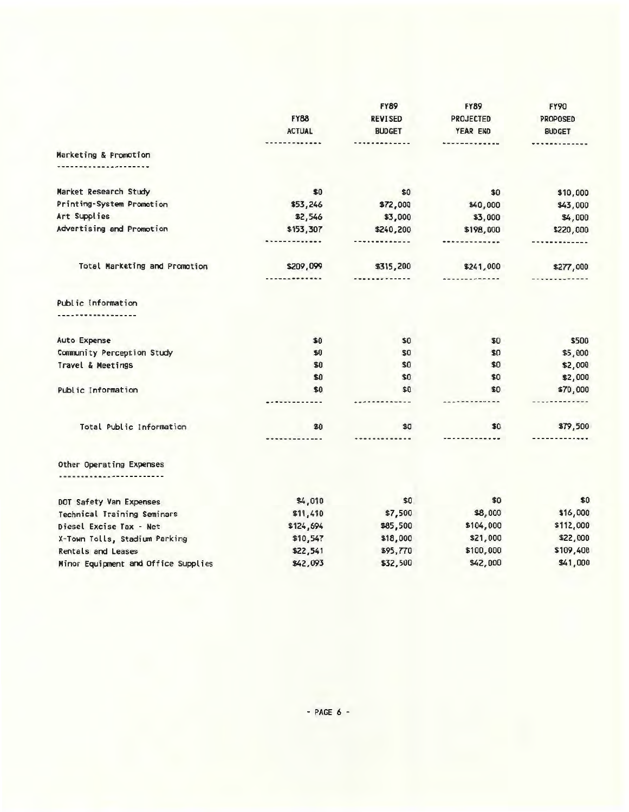|                                                    |                     | <b>FY89</b>    | <b>FY89</b>          | <b>FY90</b>        |
|----------------------------------------------------|---------------------|----------------|----------------------|--------------------|
|                                                    | <b>FY88</b>         | <b>REVISED</b> | <b>PROJECTED</b>     | <b>PROPOSED</b>    |
|                                                    | <b>ACTUAL</b>       | <b>BUDGET</b>  | YEAR END             | <b>BUDGET</b>      |
|                                                    | ----------          | .              | ------- <b>---</b> - | <b>***********</b> |
| Marketing & Promotion                              |                     |                |                      |                    |
| -------------                                      |                     |                |                      |                    |
| Market Research Study                              | \$0                 | \$0            | \$0                  | \$10,000           |
| Printing-System Promotion                          | \$53,246            | \$72,000       | \$40,000             | \$43,000           |
| Art Supplies                                       | \$2,546             | \$3,000        | \$3,000              | \$4,000            |
| Advertising and Promotion                          | \$153,307           | \$240,200      | \$198,000            | \$220,000          |
|                                                    | ------- <b>----</b> | -------------  | -------------        |                    |
| Total Marketing and Promotion                      | \$209,099           | \$315,200      | \$241,000            | \$277,000          |
|                                                    | -------------       | -------------  | *************        |                    |
| Public Information                                 |                     |                |                      |                    |
|                                                    |                     |                |                      |                    |
| <b>Auto Expense</b>                                | \$0                 | \$0            | \$0                  | \$500              |
| Community Perception Study                         | \$0                 | \$0            | \$0                  | \$5,000            |
| Travel & Meetings                                  | \$0                 | \$0            | \$0                  | \$2,000            |
|                                                    | \$0                 | \$0            | \$0                  | \$2,000            |
| Public Information                                 | \$0                 | \$0            | \$0                  | \$70,000           |
|                                                    |                     |                |                      |                    |
| Total Public Information                           | \$0                 | \$0            | \$0                  | \$79,500           |
|                                                    | -------------       | -----------    |                      |                    |
| Other Operating Expenses<br>---------------------- |                     |                |                      |                    |
|                                                    |                     |                |                      |                    |
| DOT Safety Van Expenses                            | \$4,010             | \$0            | \$0                  | \$0                |
| Technical Training Seminars                        | \$11,410            | \$7,500        | \$8,000              | \$16,000           |
| Diesel Excise Tax - Net                            | \$124,694           | \$85,500       | \$104,000            | \$112,000          |
| X-Town Tolls, Stadium Parking                      | \$10,547            | \$18,000       | \$21,000             | \$22,000           |
| Rentals and Leases                                 | \$22,541            | \$95,770       | \$100,000            | \$109,400          |
| Minor Equipment and Office Supplies                | \$42,093            | \$32,500       | \$42,000             | \$41,000           |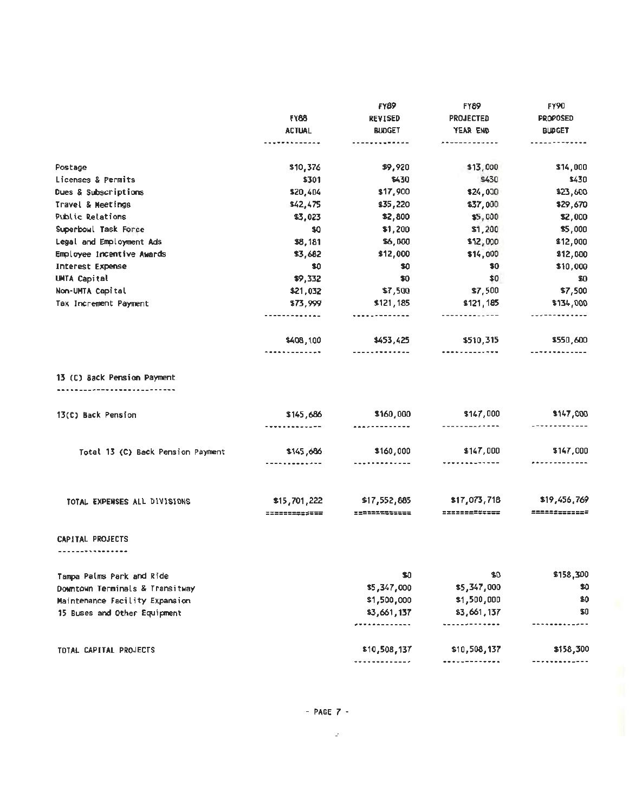|                                   | <b>FY88</b><br><b>ACTUAL</b> | <b>FY89</b>                | <b>FY89</b><br><b>PROJECTED</b><br>YEAR END | <b>FY90</b><br><b>PROPOSED</b><br><b>BUDGET</b> |
|-----------------------------------|------------------------------|----------------------------|---------------------------------------------|-------------------------------------------------|
|                                   |                              | <b>REVISED</b>             |                                             |                                                 |
|                                   |                              | <b>BUDGET</b>              |                                             |                                                 |
|                                   |                              | ---- <b>------</b> ---     | --------- <b>--</b> --                      | -------------                                   |
| Postage                           | \$10,376                     | \$9,920                    | \$13,000                                    | \$14,000                                        |
| Licenses & Permits                | \$301                        | \$430                      | \$430                                       | \$430                                           |
| Dues & Subscriptions              | \$20,404                     | \$17,900                   | \$24,000                                    | \$23,600                                        |
| Travel & Meetings                 | \$42,475                     | \$35,220                   | \$37,000                                    | \$29,670                                        |
| Public Relations                  | \$3,023                      | \$2,800                    | \$5,000                                     | \$2,000                                         |
| Superboul Task Force              | \$0                          | \$1,200                    | \$1,200                                     | \$5,000                                         |
| Legal and Employment Ads          | \$8,181                      | \$6,000                    | \$12,000                                    | \$12,000                                        |
| Employee Incentive Awards         | \$3,682                      | \$12,000                   | \$14,000                                    | \$12,000                                        |
| <b>Interest Expense</b>           | \$0                          | \$0                        | \$0                                         | \$10,000                                        |
| UMTA Capital                      | \$9,332                      | \$0                        | \$0                                         | \$0                                             |
| Non-UMTA Capital                  | \$21,032                     | \$7,500                    | \$7,500                                     | \$7,500                                         |
| Tax Increment Payment             | \$73,999                     | \$121,185                  | \$121,185                                   | \$134,000                                       |
|                                   | -------------                |                            | -------------                               |                                                 |
|                                   | \$408,100                    | \$453,425                  | \$510,315                                   | \$550,600                                       |
|                                   | ------------ <b>-</b>        | -------------              | ---- <i>------</i> ---                      | -------------                                   |
| 13 (C) Back Pension Payment<br>   |                              |                            |                                             |                                                 |
|                                   |                              |                            |                                             |                                                 |
| 13(C) Back Pension                | \$145,686<br>-------------   | \$160,000<br><u></u>       | \$147,000<br>-------------                  | \$147,000<br>-------------                      |
|                                   |                              |                            | \$147,000                                   | \$147,000                                       |
| Total 13 (C) Back Pension Payment | \$145,686<br>-------------   | \$160,000<br>------------- | -------------                               | .                                               |
|                                   |                              |                            |                                             |                                                 |
| TOTAL EXPENSES ALL DIVISIONS      | \$15,701,222                 | \$17,552,885               | \$17,073,718                                | \$19,456,769                                    |
|                                   | ======= <b>=</b> =====       | <b>*************</b>       | =============                               | =============                                   |
| CAPITAL PROJECTS                  |                              |                            |                                             |                                                 |
| ------- <b>------</b> -           |                              |                            |                                             |                                                 |
| Tampa Palms Park and Ride         |                              | \$0                        | \$0                                         | \$158,300                                       |
| Downtown Terminals & Transitway   |                              | \$5,347,000                | \$5,347,000                                 | \$0                                             |
| Maintenance Facility Expansion    |                              | \$1,500,000                | \$1,500,000                                 | \$0                                             |
| 15 Buses and Other Equipment      |                              | \$3,661,137                | \$3,661,137                                 | \$0                                             |
|                                   |                              |                            | <u></u>                                     |                                                 |

TOTAL CAPITAL PROJECTS

 $\sim 200$ 

\$10,508, 137 \$10,508,137 \$158,300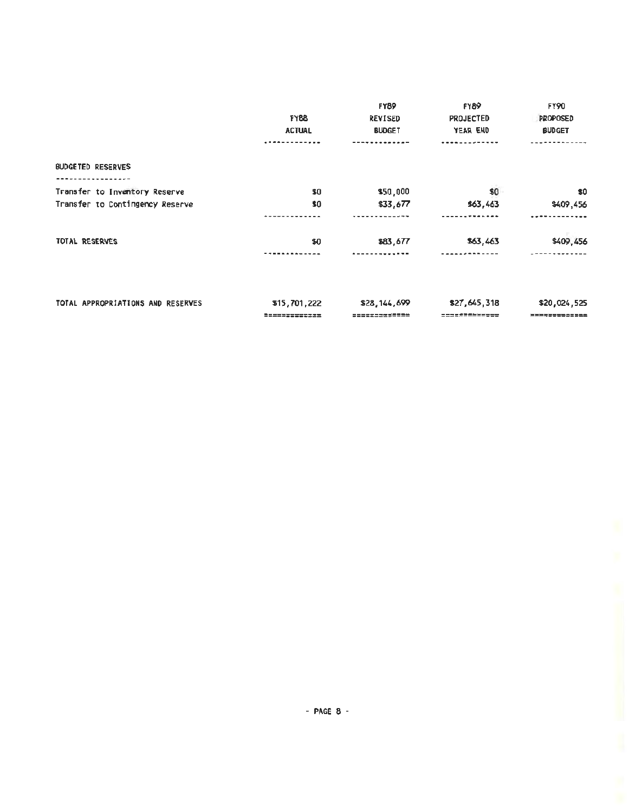|                                   |               | <b>FY89</b>    | <b>FY89</b>      | FY90          |
|-----------------------------------|---------------|----------------|------------------|---------------|
|                                   | <b>FY88</b>   | <b>REVISED</b> | <b>PROJECTED</b> | PROPOSED      |
|                                   | <b>ACTUAL</b> | <b>BUDGET</b>  | YEAR END         | <b>BUDGET</b> |
|                                   |               |                |                  |               |
| <b>BUDGETED RESERVES</b>          |               |                |                  |               |
| ----------                        |               |                |                  |               |
| Transfer to Inventory Reserve     | \$0           | \$50,000       | \$0              | \$0           |
| Transfer to Contingency Reserve   | \$0           | \$33,677       | \$63,463         | \$409,456     |
|                                   |               |                |                  |               |
| TOTAL RESERVES                    | \$0           | \$83,677       | \$63,463         | \$409,456     |
|                                   |               |                |                  |               |
|                                   |               |                |                  |               |
| TOTAL APPROPRIATIONS AND RESERVES | \$15,701,222  | \$28,144,699   | \$27,645,318     | \$20,024,525  |

============= ============= ------- ---------------- --- =============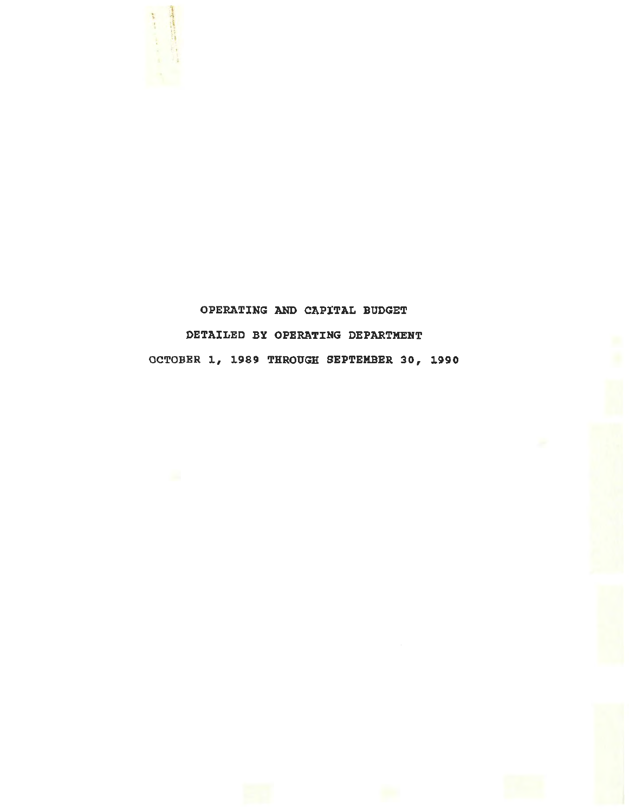

## OPERATING AND CAPITAL BUDGET DETAILED BY OPERATING DEPARTMENT OCTOBER 1, 1989 THROUGH SEPTEMBER 30, 1990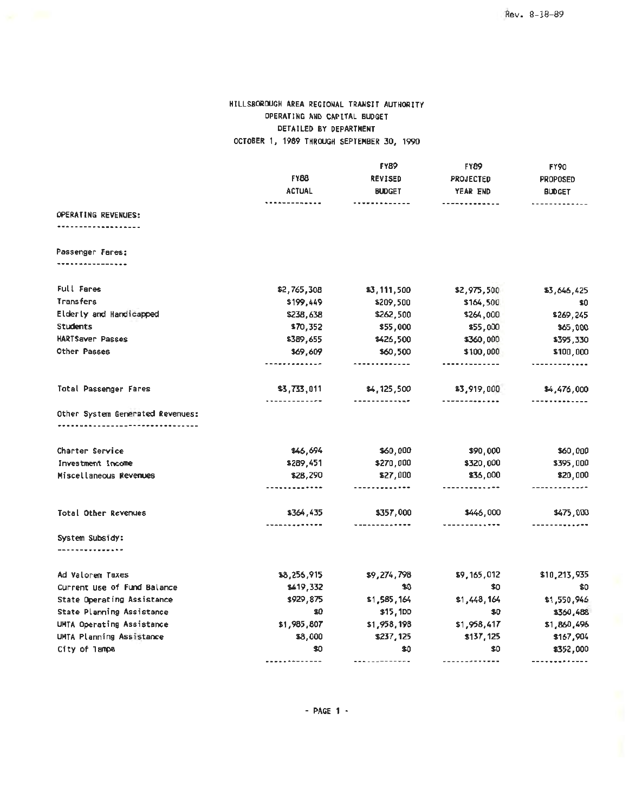#### HILLSBOROUGH AREA REGIONAL TRANSIT AUTHORITY OPERATING AND CAPITAL BUDGET DETAILED BY DEPARTMENT OCTOBER 1, 1989 THROUGH SEPTEMBER 30, 1990

|                                  | FY88<br><b>ACTUAL</b>  | <b>FY89</b>            | <b>FY89</b><br><b>PROJECTED</b>      | <b>FY90</b><br><b>PROPOSED</b><br><b>BUDGET</b> |
|----------------------------------|------------------------|------------------------|--------------------------------------|-------------------------------------------------|
|                                  |                        | <b>REVISED</b>         |                                      |                                                 |
|                                  |                        | <b>BUDGET</b>          | YEAR END                             |                                                 |
| OPERATING REVENUES:              |                        | ----------             | -------------                        | ------                                          |
|                                  |                        |                        |                                      |                                                 |
|                                  |                        |                        |                                      |                                                 |
| Passenger Fares:                 |                        |                        |                                      |                                                 |
|                                  |                        |                        |                                      |                                                 |
| Full Fares                       | \$2,765,308            | \$3,111,500            | \$2,975,500                          | \$3,646,425                                     |
| Transfers                        | \$199,449              | \$209,500              | \$164,500                            | \$0                                             |
| Elderly and Handicapped          | \$238,638              | \$262,500              | \$264,000                            | \$269,245                                       |
| Students                         | \$70,352               | \$55,000               | \$55,000                             | \$65,000                                        |
| HARTSaver Passes                 | \$389,655              | \$426,500              | \$360,000                            | \$395,330                                       |
| Other Passes                     | \$69,609               | \$60,500               | \$100,000                            | \$100,000                                       |
|                                  | ---- <i>----</i> ----- | -------------          |                                      | ------ <b>----</b> -                            |
| Total Passenger Fares            | \$3,733,011<br>.       | \$4,125,500<br><u></u> | \$3,919,000<br>-------- <b>-----</b> | \$4,476,000                                     |
| Other System Generated Revenues: |                        |                        |                                      |                                                 |
| Charter Service                  | 846,694                | \$60,000               | \$90,000                             | \$60,000                                        |
| Investment Income                | \$289,451              | \$270,000              | \$320,000                            | \$395,000                                       |
| Miscellaneous Revenues           | \$28,290               | \$27,000               | \$36,000                             | \$20,000                                        |
|                                  | .                      | -------------          | -------------                        |                                                 |
| Total Other Revenues             | \$364,435              | \$357,000              | \$446,000                            | \$475,000                                       |
|                                  |                        | -------------          |                                      |                                                 |
| System Subsidy:                  |                        |                        |                                      |                                                 |
|                                  |                        |                        |                                      |                                                 |
| Ad Valorem Taxes                 | \$8,256,915            | \$9,274,798            | \$9,165,012                          | \$10,213,935                                    |
| Current Use of Fund Balance      | \$419,332              | \$0                    | \$0                                  | \$0                                             |
| State Operating Assistance       | \$929,875              | \$1,585,164            | \$1,448,164                          | \$1,550,946                                     |
| State Planning Assistance        | \$0                    | \$15,1DD               | \$0                                  | \$360,488                                       |
| UMTA Operating Assistance        | \$1,985,807            | \$1,958,198            | \$1,958,417                          | \$1,860,496                                     |
| UMTA Planning Assistance         | \$8,000                | \$237,125              | \$137,125                            | \$167,904                                       |
| City of Tampa                    | \$0                    | \$0                    | \$0                                  | \$352,000                                       |
|                                  |                        |                        | -------------                        | -------------                                   |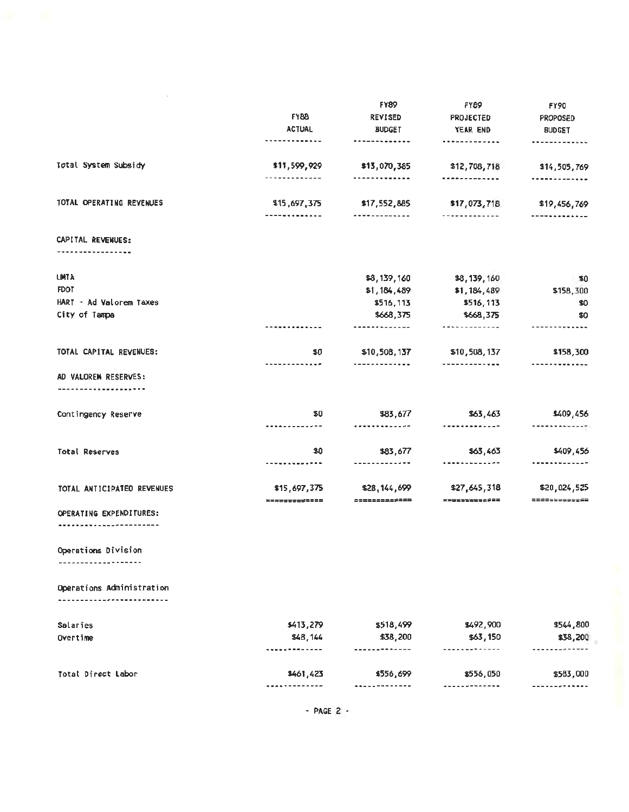|                                | <b>FY88</b>                   | <b>FY89</b>                            | <b>FY89</b><br>PROJECTED              | <b>FY90</b><br><b>PROPOSED</b>               |
|--------------------------------|-------------------------------|----------------------------------------|---------------------------------------|----------------------------------------------|
|                                |                               | <b>REVISED</b>                         |                                       |                                              |
|                                | <b>ACTUAL</b>                 | <b>BUDGET</b>                          | YEAR END                              | <b>BUDGET</b>                                |
|                                | ------ <b>-----</b> --        | -------------                          |                                       |                                              |
| Total System Subsidy           | \$11,599,929<br>------------- | \$13,070,385<br>------- <b>-----</b> - | \$12,708,718<br>-------------         | \$14,505,769<br><b>*************</b>         |
| TOTAL OPERATING REVENUES       |                               |                                        |                                       |                                              |
|                                | \$15,697,375<br>-----------   | \$17,552,885<br>                       | \$17,073,718<br>. <b>.</b>            | \$19,456,769<br>-----------                  |
| CAPITAL REVENUES:              |                               |                                        |                                       |                                              |
|                                |                               |                                        |                                       |                                              |
| <b>UMTA</b>                    |                               | \$8,139,160                            | \$8,139,160                           | $\hat{\mathbf{F}}$ 0                         |
| <b>FDOT</b>                    |                               | \$1,184,489                            | \$1,184,439                           | \$156,300                                    |
| HART - Ad Valorem Taxes        |                               | \$516,113                              | \$516,113                             | \$0                                          |
| City of Tampa                  |                               | \$668,375                              | \$668,375                             | \$0                                          |
|                                |                               | -------------                          | -------------                         |                                              |
| TOTAL CAPITAL REVENUES:        | \$0<br>----------- <b>-</b> - | \$10,508,137<br>-------------          | \$10,508,137<br>----------- <b>--</b> | \$158,300                                    |
| AD VALOREM RESERVES:           |                               |                                        |                                       |                                              |
| ________ <b>__________</b> ___ |                               |                                        |                                       |                                              |
| Contingency Reserve            | \$0                           | \$83,677                               | \$63,463                              | \$409,456                                    |
|                                | -------------                 | -------------                          |                                       | $\cdots\cdots\cdots\cdots\cdots\cdots\cdots$ |
| Total Reserves                 | \$0                           | \$83,677                               | \$63,463                              | \$409,456                                    |
|                                | -------------                 | -------------                          | -------------                         |                                              |
| TOTAL ANTICIPATEO REVENUES     | \$15,697,375                  | \$28,144,699                           | \$27,645,318                          | \$20,024,525<br>▆▆▆▆▅▅▅▅▅▅▅                  |
| OPERATING EXPENDITURES:        | =============                 | $-211222222222$                        | =============                         |                                              |
| ---------------------          |                               |                                        |                                       |                                              |
| Operations Division            |                               |                                        |                                       |                                              |
| -----------------              |                               |                                        |                                       |                                              |
| Operations Administration      |                               |                                        |                                       |                                              |
| --------------------           |                               |                                        |                                       |                                              |
| Salaries                       | \$413,279                     | \$518,499                              | \$492,900                             | \$544,800                                    |
| Overtime                       | \$48,144                      | \$38,200                               | \$63,150                              | \$38,201                                     |
|                                |                               |                                        | <b>.</b>                              |                                              |
| Total Direct Labor             | \$461,423                     | \$556,699                              | \$556,050                             | \$583,000                                    |
|                                | . <b>.</b>                    | . . <i>.</i> .                         | <b>.</b>                              | ------- <b>--</b> --                         |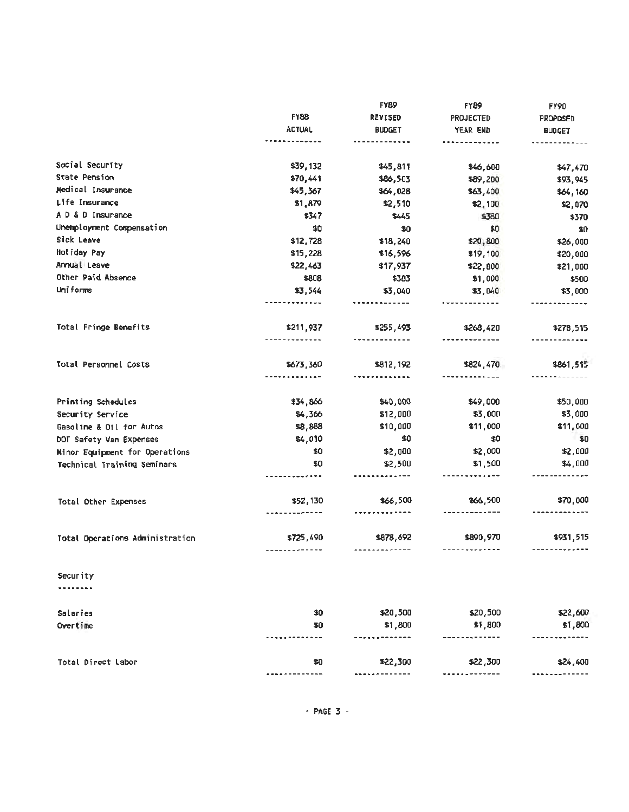|                                 | <b>FY88</b><br><b>ACTUAL</b> | <b>FY89</b><br><b>REVISED</b> | FYB9<br><b>PROJECTED</b><br>YEAR END | <b>FY90</b><br><b>PROPOSED</b><br><b>BUDGET</b> |
|---------------------------------|------------------------------|-------------------------------|--------------------------------------|-------------------------------------------------|
|                                 |                              |                               |                                      |                                                 |
|                                 |                              | <b>BUDGET</b>                 |                                      |                                                 |
|                                 |                              |                               | -----                                |                                                 |
| Social Security                 | \$39,132                     | \$45,811                      | \$46,600                             | \$47,470                                        |
| State Pension                   | \$70,441                     | \$86,503                      | \$89,200                             | \$93,945                                        |
| Medical Insurance               | \$45,367                     | \$64,028                      | \$63,400                             | \$64,160                                        |
| Life Insurance                  | \$1,879                      | \$2,510                       | \$2,100                              | \$2,070                                         |
| A D & D Insurance               | \$347                        | \$445                         | \$330                                | \$370                                           |
| Unemployment Compensation       | \$0                          | \$0                           | \$0                                  | \$0                                             |
| Sick Leave                      | \$12,728                     | \$18,240                      | \$20,800                             | \$26,000                                        |
| Holiday Pay                     | \$15,228                     | \$16,596                      | \$19,100                             | \$20,000                                        |
| Annual Leave                    | \$22,463                     | \$17,937                      | \$22,800                             | \$21,000                                        |
| Other Paid Absence              | \$808                        | \$383                         | \$1,000                              | \$500                                           |
| Uniforms                        | \$3,544                      | \$3,040                       | \$3,0,0                              | \$3,000                                         |
|                                 |                              |                               |                                      |                                                 |
| Total Fringe Benefits           | \$211,937                    | \$255,493                     | \$268,420                            | \$278,515                                       |
|                                 | ---------                    |                               |                                      |                                                 |
| Total Personnel Costs           | \$673,360                    | \$812,192                     | \$824,470                            | \$861,515                                       |
|                                 |                              |                               |                                      |                                                 |
| Printing Schedules              | \$34,866                     | \$40,000                      | \$49,000                             | \$50,000                                        |
| Security Service                | \$4,366                      | \$12,000                      | \$3,000                              | \$3,000                                         |
| Gasoline & Oil for Autos        | \$8,888                      | \$10,000                      | \$11,000                             | \$11,000                                        |
| DOT Safety Van Expenses         | \$4,010                      | \$0                           | \$0                                  | $\bullet$ 0                                     |
| Minor Equipment for Operations  | \$0                          | \$2,000                       | \$2,000                              | \$2,000                                         |
| Technical Training Seminars     | \$0                          | \$2,500                       | \$1,500                              | \$4,000                                         |
|                                 |                              |                               |                                      |                                                 |
| Total Other Expenses            | \$52,130                     | \$66,500                      | \$66,500                             | \$70,000                                        |
|                                 |                              |                               |                                      |                                                 |
| Total Operations Administration | \$725,490                    | \$878,692                     | \$890,970                            | \$931,515                                       |
| Security                        |                              |                               |                                      |                                                 |
|                                 |                              |                               |                                      |                                                 |
| Salaries                        | \$0                          | \$20,500                      | \$20,500                             | \$22,600                                        |
| Overtime                        | 50                           | \$1,800                       | \$1,800                              | \$1,800                                         |
|                                 |                              |                               |                                      |                                                 |
| Total Direct Labor              | \$0                          | \$22,300                      | \$22,300                             | \$24,400                                        |
|                                 |                              |                               |                                      |                                                 |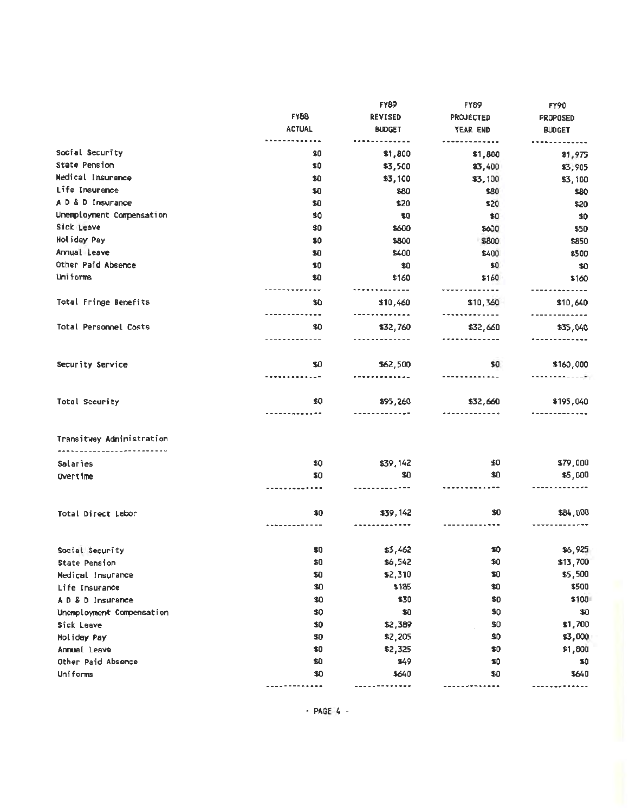|                                                        | <b>FY88</b>   | <b>FY89</b>  | <b>FY89</b><br><b>REVISED</b><br><b>PROJECTED</b><br><b>BUDGET</b><br>YEAR END | FY90<br>PROPOSED<br><b>BUDGET</b> |
|--------------------------------------------------------|---------------|--------------|--------------------------------------------------------------------------------|-----------------------------------|
|                                                        |               |              |                                                                                |                                   |
|                                                        | <b>ACTUAL</b> |              |                                                                                |                                   |
| Social Security                                        | \$0           | \$1,800      | \$1,800                                                                        | <b>. .</b> .<br>\$1,975           |
| <b>State Pension</b>                                   | \$0           | \$3,500      | \$3,400                                                                        | \$3,905                           |
| Medical Insurance                                      | \$0           | \$3,100      | \$3,100                                                                        | \$3,100                           |
| Life Insurance                                         | \$0           | \$80         | \$30                                                                           | \$80                              |
| A D & D Insurance                                      | \$0           | \$20         | \$20                                                                           | \$20                              |
| Unemployment Compensation<br>Sick Leave<br>Holiday Pay | \$0           | \$0          | \$0                                                                            | \$0                               |
|                                                        | \$0           | \$600        | \$600                                                                          | \$50                              |
|                                                        | \$0           | \$800        | \$800                                                                          | \$850                             |
| Annual Leave                                           | \$0           | \$400        | \$400                                                                          | \$500                             |
| Other Paid Absence                                     | \$0           | \$0          | \$0                                                                            | \$0                               |
| Uniforms                                               | \$0           | \$160        | \$160                                                                          | \$160                             |
|                                                        |               |              |                                                                                |                                   |
| Total Fringe Benefits                                  | \$0           | \$10,460<br> | \$10,360                                                                       | \$10,640<br>. <b>.</b>            |
| Total Personnel Costs                                  | \$0           | \$32,760     | \$32,660                                                                       | \$35,040                          |
|                                                        |               | --------     | <b></b>                                                                        |                                   |
| Security Service                                       | \$0           | \$62,500     | 40                                                                             | \$160,000                         |
|                                                        |               | .            |                                                                                | <b>ARABASHAD</b>                  |
| Total Security                                         | \$0           | \$95,260     | \$32,660                                                                       | \$195,040                         |
| Transitway Administration                              |               |              |                                                                                |                                   |
| Salaries                                               | \$0           | \$39,142     | \$0                                                                            | \$79,000                          |
| Overtime                                               | \$0           | \$0          | \$0                                                                            | \$5,000                           |
|                                                        |               |              |                                                                                |                                   |
| Total Direct Labor                                     | \$0           | \$39,142     | \$0                                                                            | \$84,000                          |
|                                                        |               |              |                                                                                |                                   |
| Social Security                                        | \$0           | \$3,462      | \$0                                                                            | \$6,925                           |
| State Pension                                          | \$0           | \$6,542      | \$0                                                                            | \$13,700                          |
| Medical Insurance                                      | \$0           | \$2,310      | \$0                                                                            | \$5,500                           |
| Life Insurance                                         | \$0           | \$185        | \$0                                                                            | \$500                             |
| A D & D Insurance                                      | \$0           | \$30         | \$0                                                                            | \$101                             |
| Unemployment Compensation                              | \$0           | \$0          | \$0                                                                            | \$0                               |
| Sick Leave                                             | \$0           | \$2,389      | \$0                                                                            | \$1,700                           |
| <b>Holiday Pay</b>                                     | \$0           | \$2,205      | \$0                                                                            | \$3,00G                           |
| Annual Leave                                           | \$0           | \$2,325      | \$0                                                                            | \$1,800                           |
| Other Paid Absence                                     | \$0           | \$49         | \$0                                                                            | \$0                               |
| Uniforms                                               | \$0           | \$640        | \$0                                                                            | \$640                             |
|                                                        |               |              |                                                                                |                                   |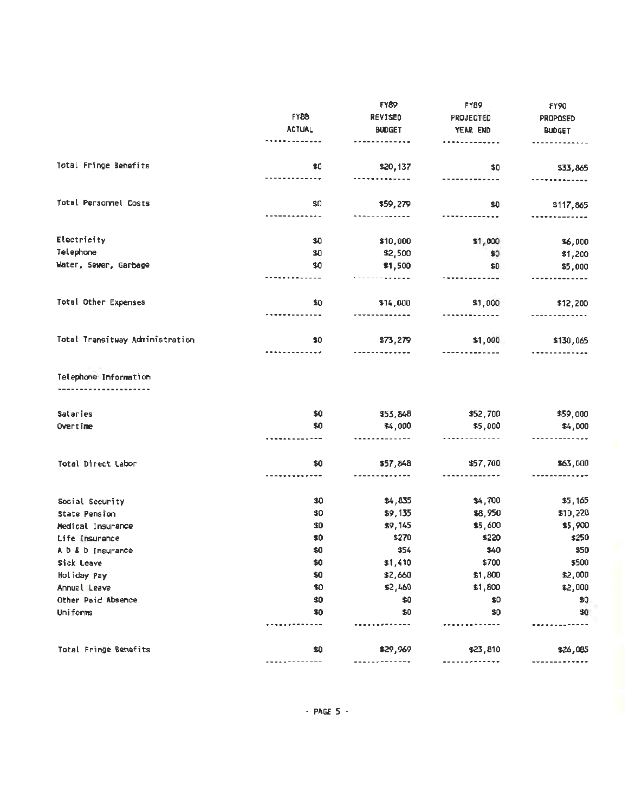|                                 |               | <b>FY89</b>    | FY89         | <b>FY90</b>     |
|---------------------------------|---------------|----------------|--------------|-----------------|
|                                 | <b>FY88</b>   | <b>REVISEO</b> | PROJECTED    | <b>PROPOSED</b> |
|                                 | <b>ACTUAL</b> | <b>BUDGET</b>  | YEAR END     | <b>BUDGET</b>   |
|                                 |               |                |              |                 |
| Total Fringe Benefits           | \$0           | \$20,137       | \$0          | \$33,865        |
|                                 |               |                |              |                 |
| Total Personnel Costs           | \$0           | \$59,279       | \$0          | \$117,865       |
|                                 |               |                |              |                 |
| Electricity                     | \$0           | \$10,000       | \$1,000      | \$6,000         |
| Telephone                       | \$0           | \$2,500        | \$0          | \$1,200         |
| Water, Sewer, Garbage           | \$0           | \$1,500        | 60           | \$5,000         |
|                                 |               |                |              |                 |
| Total Other Expenses            | \$0           | \$14,000       | \$1,000      | \$12,200        |
|                                 |               |                |              |                 |
| Total Transitway Administration | \$0           | \$73,279       | \$1,000      | \$130,065       |
| Salaries                        | \$0           | \$53,848       | \$52,700     | \$59,000        |
| Overtime                        | \$0           | \$4,000        | \$5,000      | \$4,000         |
|                                 |               |                | .            |                 |
| Total Direct Labor              | \$0           | \$57,848       | \$57,700<br> | \$63,000        |
| Social Security                 | \$0           | \$4,835        | \$4,700      | \$5,165         |
| State Pension                   | \$0           | \$9,135        | \$8,950      | \$10,220        |
| Medical Insurance               | \$0           | \$9,145        | \$5,600      | \$5,900         |
| Life Insurance                  | \$0           | \$270          | \$220        | \$250           |
| A D & D Insurance               | \$0           | \$54           | \$40         | \$50            |
| Sick Leave                      | \$0           | \$1,410        | \$700        | \$500           |
| Holiday Pay                     | \$0           | \$2,660        | \$1,800      | \$2,000         |
| Annual Leave                    | \$0           | \$2,460        | \$1,800      | \$2,000         |
| Other Paid Absence              | \$0           | \$0            | \$0          | \$Ū             |
| <b>Uniforms</b>                 | \$0           | \$0            | \$0          | 90              |
|                                 |               |                |              |                 |
| Total Fringe Benefits           | \$0           | \$29,969       | \$23,810     | \$26,085        |
|                                 |               |                |              |                 |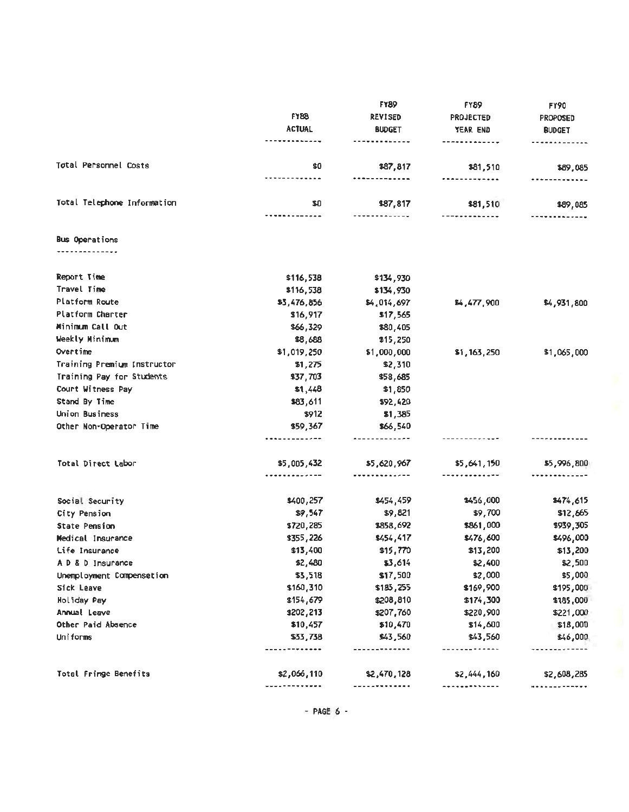|                             | <b>FY88</b>                        | <b>FY89</b>                 | <b>FY89</b><br><b>PROJECTED</b> | <b>FY90</b><br><b>PROPOSED</b> |
|-----------------------------|------------------------------------|-----------------------------|---------------------------------|--------------------------------|
|                             |                                    | <b>REVISED</b>              |                                 |                                |
|                             | <b>ACTUAL</b>                      | <b>BUDGET</b>               | YEAR END                        | <b>BUDGET</b>                  |
|                             | -------------                      |                             | -------------                   | -------------                  |
| Total Personnel Costs       | \$0                                | \$87,817                    | \$81,510                        | \$89,085                       |
|                             | -------------                      | -------------               | -------------                   |                                |
| Total Telephone Information | \$0<br><b></b>                     | \$87,817<br>-------------   | \$81,510<br>-------------       | \$89,085                       |
| Bus Operations              |                                    |                             |                                 |                                |
| .                           |                                    |                             |                                 |                                |
| Report Time                 | \$116,538                          | \$134,930                   |                                 |                                |
| Travel Time                 | \$116,538                          | \$134,930                   |                                 |                                |
| Platform Route              | \$3,476,856                        | \$4,014,697                 | \$4,477,900                     | \$4,931,800                    |
| Platform Charter            | \$16,917                           | \$17,565                    |                                 |                                |
| Minimum Call Out            | \$66,329                           | \$80,405                    |                                 |                                |
| Weekly Minimum              | \$8,688                            | \$15,250                    |                                 |                                |
| Overtime                    | \$1,019,250                        | \$1,000,000                 | \$1,163,250                     | \$1,065,000                    |
| Training Premium Instructor | \$1,275                            | \$2,310                     |                                 |                                |
| Training Pay for Students   | \$37,703                           | \$58,685                    |                                 |                                |
| Court Witness Pay           | \$1,448                            | \$1,850                     |                                 |                                |
| Stand By Time               | \$83,611                           | \$92,420                    |                                 |                                |
| Union Business              | \$912                              | \$1,385                     |                                 |                                |
| Other Non-Operator Time     | \$59,367                           | \$66,540                    |                                 |                                |
|                             | ------------                       | <u></u> .                   |                                 |                                |
| Total Direct Labor          | \$5,005,432                        | \$5,620,967                 | \$5,641,150                     | \$5,996,800                    |
|                             | . <del>.</del>                     | --------- <i>----</i>       | -------------                   |                                |
| Social Security             | \$400,257                          | \$454,459                   | \$456,000                       | \$474,615                      |
| City Pension                | \$9,547                            | \$9,821                     | \$9,700                         | \$12,665                       |
| <b>State Pension</b>        | \$720,285                          | \$858,692                   | \$861,000                       | \$939,305                      |
| Medical Insurance           | \$355,226                          | \$454,417                   | \$476,600                       | \$496,000                      |
| Life Insurance              | \$13,400                           | \$15,770                    | \$13,200                        | \$13,200                       |
| A D & D Insurance           | \$2,480                            | \$3,614                     | \$2,400                         | \$2,500                        |
| Unemployment Compensetion   | \$3,518                            | \$17,500                    | \$2,000                         | \$5,000                        |
| Sick Leave                  | \$160,310                          | \$185,255                   | \$169,900                       | \$195,000                      |
| Holiday Pay                 | \$154,679                          | \$208,810                   | \$174,300                       | \$185,001                      |
| Annual Leave                | \$202,213                          | \$207,760                   | \$220,900                       | \$221,000                      |
| Other Paid Absence          | \$10,457                           | \$10,470                    | \$14,600                        | \$18,000                       |
| <b>Uniforms</b>             | \$33,738<br>                       | \$43,560<br>- - - - - - - - | \$43,560<br>--------            | \$46,000                       |
|                             |                                    |                             |                                 |                                |
| Total Fringe Benefits       | \$2,066,110<br>-------- <i>-</i> - | \$2,470,128                 | \$2,444,160                     | \$2,608,285                    |
|                             |                                    |                             |                                 |                                |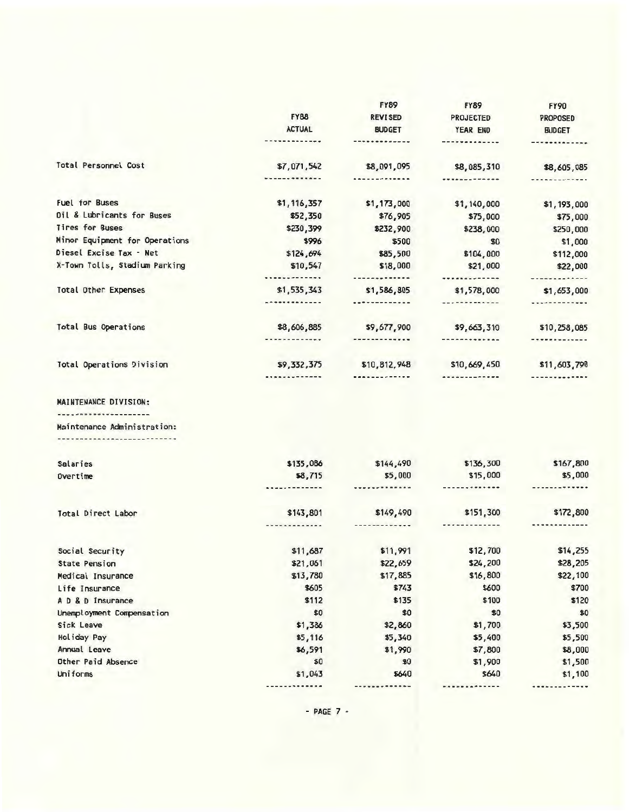|                                  |                      | <b>FY89</b>            | <b>FY89</b>          | <b>FY90</b>                                               |
|----------------------------------|----------------------|------------------------|----------------------|-----------------------------------------------------------|
|                                  | <b>FY88</b>          | <b>REVISED</b>         | <b>PROJECTED</b>     | <b>PROPOSED</b>                                           |
|                                  | <b>ACTUAL</b>        | <b>BUDGET</b>          | YEAR END             | <b>BUDGET</b>                                             |
|                                  |                      |                        |                      |                                                           |
| Total Personnel Cost             | \$7,071,542          | \$8,091,095            | \$8,085,310          | \$8,605,085                                               |
|                                  | -------------        | . <b>.</b> .           | . <b>. .</b> .       | <b><i><u><u><u><del>***********</del></u></u></u></i></b> |
| <b>Fuel for Buses</b>            | \$1,116,357          | \$1,173,000            | \$1,140,000          | \$1,193,000                                               |
| Dil & Lubricants for Buses       | \$52,350             | \$76,905               | \$75,000             | \$75,000                                                  |
| Tires for Buses                  | \$230,399            | \$232,900              | \$238,000            | \$250,000                                                 |
| Minor Equipment for Operations   | \$996                | \$500                  | \$0                  | \$1,000                                                   |
| Diesel Excise Tax - Net          | \$124,694            | \$85,500               | \$104,000            | \$112,000                                                 |
| X-Town Tolls, Stadium Parking    | \$10,547             | \$18,000               | \$21,000             | \$22,000                                                  |
|                                  | <b></b>              | ------ <b>------</b> - | *************        | -------------                                             |
| <b>Total Other Expenses</b>      | \$1,535,343          | \$1,586,805            | \$1,578,000          | \$1,653,000                                               |
|                                  | <b>*************</b> |                        | -------------        | . <i>.</i>                                                |
| Total Bus Operations             | \$8,606,885          | \$9,677,900            | \$9,663,310          | \$10,258,085                                              |
|                                  |                      | -------------          | -------------        | -------------                                             |
| <b>Total Operations Division</b> | \$9,332,375          | \$10,812,948           | \$10,669,450         | \$11,603,790                                              |
|                                  |                      |                        |                      |                                                           |
| MAINTENANCE DIVISION:            |                      |                        |                      |                                                           |
| --------------------             |                      |                        |                      |                                                           |
| Maintenance Administration:      |                      |                        |                      |                                                           |
| ------------------------         |                      |                        |                      |                                                           |
| Salaries                         | \$135,086            | \$144,490              | \$136,300            | \$167,800                                                 |
| Overtime                         | \$8,715              | \$5,000                | \$15,000             | \$5,000                                                   |
|                                  | ---------            | ------------           | ------- <b>-----</b> |                                                           |
| Total Direct Labor               | \$143,801            | \$149,490              | \$151,300            | \$172,800                                                 |
|                                  |                      |                        |                      |                                                           |
| Social Security                  | \$11,687             | \$11,991               | \$12,700             | \$14,255                                                  |
| <b>State Pension</b>             | \$21,061             | \$22,659               | \$24,200             | \$28,205                                                  |
| Medical Insurance                | \$13,780             | \$17,885               | \$16,800             | \$22,100                                                  |
| Life Insurance                   | \$605                | \$743                  | \$600                | \$700                                                     |
| A D & D Insurance                | \$112                | \$135                  | \$100                | \$120                                                     |
| Unemployment Compensation        | \$0                  | \$0                    | \$0                  | \$0                                                       |
| Sick Leave                       | \$1,386              | \$2,860                | \$1,700              | \$3,500                                                   |
| Holiday Pay                      | \$5,116              | \$5,340                | \$5,400              | \$5,500                                                   |
| Annual Leave                     | \$6,591              | \$1,990                | \$7,800              | \$8,000                                                   |
| Other Paid Absence               | \$0                  | \$0                    | \$1,900              | \$1,500                                                   |
| Uniforms                         | \$1,043              | \$640                  | \$640                | \$1,100                                                   |
|                                  | -------              | ------                 |                      | ----------                                                |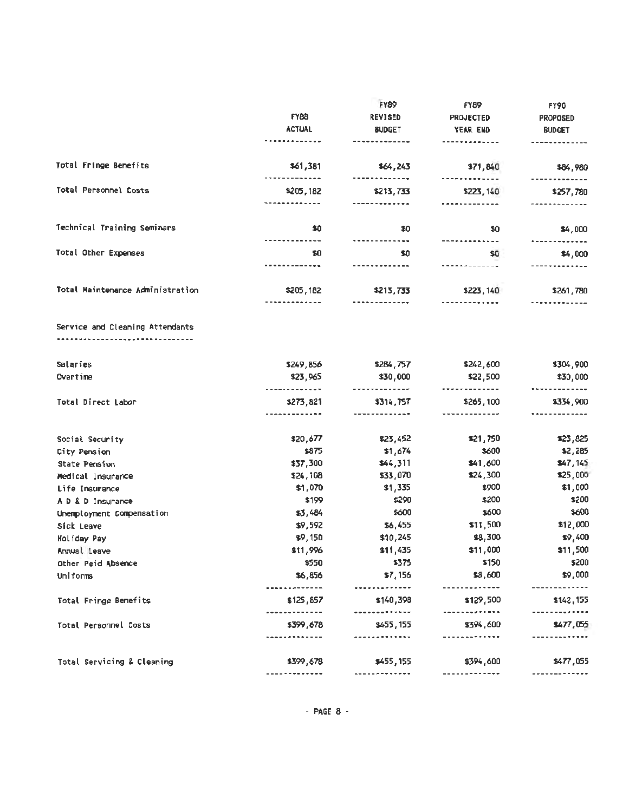|                                  | <b>FY88</b><br><b>ACTUAL</b>                        | <b>FY89</b><br><b>REVISED</b><br><b>SUDGET</b> | <b>FY89</b><br><b>PROJECTED</b><br>YEAR END | FY90<br><b>PROPOSED</b><br><b>BUDGET</b> |
|----------------------------------|-----------------------------------------------------|------------------------------------------------|---------------------------------------------|------------------------------------------|
| Total Fringe Benefits            | \$61,381                                            | \$64,243                                       | \$71,840                                    | \$84,980                                 |
| Total Personnel Costs            | .<br>\$205,182<br>-------------                     | \$213,733<br>-------------                     | -------------<br>\$223,140<br>----------    | \$257,780<br>.                           |
| Technical Training Seminars      | \$0<br>-------------                                | \$0<br>---------- <b>--</b> -                  | \$0                                         | \$4,000                                  |
| Total Other Expenses             | \$0                                                 | \$0                                            | -------------<br>\$0<br>----------          | .<br>\$4,000                             |
| Total Maintenance Administration | \$205,182<br>-------------                          | \$213,733<br>                                  | \$223,140                                   | \$261,780                                |
| Service and Cleaning Attendants  |                                                     |                                                |                                             |                                          |
| Salaries                         | \$249,856                                           | \$284,757                                      | \$242,600                                   | \$304,900                                |
| Overtime                         | \$23,965                                            | \$30,000                                       | \$22,500                                    | \$30,000<br>                             |
| Total Direct Labor               | ----------- <b>--</b><br>\$273,821<br>------------- | -------------<br>\$314,757<br>-------------    | <b></b><br>\$265,100<br>-------------       | \$334,900<br>.                           |
| Social Security                  | \$20,677                                            | \$23,452                                       | \$21,750                                    | \$23,825                                 |
| City Pension                     | \$875                                               | \$1,674                                        | \$600                                       | \$2,285                                  |
| State Pension                    | \$37,300                                            | \$44,311                                       | \$41,600                                    | 147,145                                  |
| Medical Insurance                | \$24,108                                            | \$33,070                                       | \$24,300                                    | \$25,000                                 |
| Life Insurance                   | \$1,070                                             | \$1,335                                        | \$900                                       | \$1,000                                  |
| A D & D Insurance                | \$199                                               | \$290                                          | \$200                                       | \$200                                    |
| Unemployment Compensation        | \$3,484                                             | \$600                                          | \$600                                       | \$600                                    |
| Sick Leave                       | \$9,592                                             | \$6,455                                        | \$11,500                                    | \$12,000                                 |
| Holiday Pay                      | \$9,150                                             | \$10,245                                       | \$8,300                                     | \$9,400                                  |
| Annual Leave                     | \$11,996                                            | \$11,435                                       | \$11,000                                    | \$11,500                                 |
| Other Peid Absence               | \$550                                               | \$375                                          | \$150                                       | \$200                                    |
| Uniforms                         | \$6,856                                             | \$7,156                                        | \$8,600                                     | \$9,000                                  |
| Total Fringe Benefits            | . <b>.</b> .<br>\$125,857<br>.                      | <br>\$140,398<br>                              | -----------<br>\$129,500<br>----------      | ------------<br>\$142,155<br>---------   |
| Total Personnel Costs            | \$399,678<br>                                       | \$455,155<br>                                  | \$394,600<br>-------- <b>----</b> -         | \$477,055<br>.                           |
| Total Servicing & Cleaning       | \$399,678                                           | \$455,155                                      | \$394,600                                   | \$477,055                                |
|                                  | -------------                                       | -------------                                  | -------------                               | -------------                            |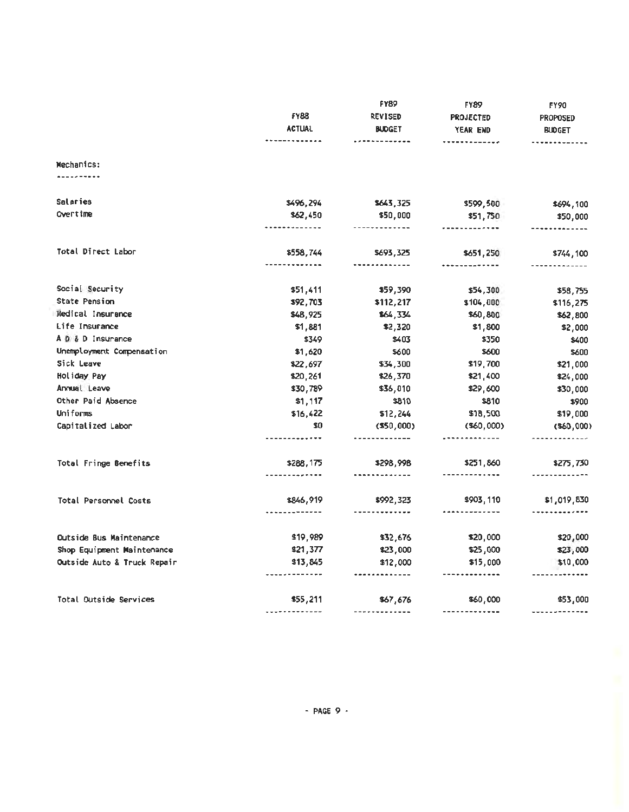|                             |                               | <b>FY89</b>                | FY89                       | FY90                                   |
|-----------------------------|-------------------------------|----------------------------|----------------------------|----------------------------------------|
|                             | <b>FY88</b><br><b>ACTUAL</b>  | <b>REVISED</b>             | <b>PROJECTED</b>           | <b>PROPOSED</b><br><b>BUDGET</b>       |
|                             |                               | <b>BUDGET</b>              | YEAR END                   |                                        |
|                             | -------------                 | <b></b>                    | <b>*******</b> ******      | -------------                          |
| Mechanics:                  |                               |                            |                            |                                        |
| .                           |                               |                            |                            |                                        |
| <b>Salaries</b>             | \$496,294                     | \$643,325                  | \$599,500                  | \$694,100                              |
| Overtime                    | \$62,450                      | \$50,000                   | \$51,750                   | \$50,000                               |
|                             | -----------                   | -------------              |                            | -------------                          |
| Total Direct Labor          | \$558,744                     | \$693,325                  | \$651,250                  | \$744,100                              |
|                             | -----------                   |                            |                            |                                        |
| Social Security             | \$51,411                      | \$59,390                   | \$54,300                   | \$58,755                               |
| State Pension               | \$92,703                      | \$112,217                  | \$104,000                  | \$116,275                              |
| Medical Insurance           | \$48,925                      | \$64,334                   | \$60,800                   | \$62,800                               |
| Life Insurance              | \$1,881                       | \$2,320                    | \$1,800                    | \$2,000                                |
| A D & D Insurance           | \$349                         | \$403                      | \$350                      | \$400                                  |
| Unemployment Compensation   | \$1,620                       | \$600                      | \$600                      | \$600                                  |
| Sick Leave                  | \$22,697                      | \$34,300                   | \$19,700                   | \$21,000                               |
| Holiday Pay                 | \$20,261                      | \$26,370                   | \$21,400                   | \$24,000                               |
| Annual Leave                | \$30,789                      | \$36,010                   | \$29,600                   | \$30,000                               |
| Other Paid Absence          | \$1,117                       | \$810                      | \$810                      | \$900                                  |
| Uniforms                    | \$16,422                      | \$12,244                   | \$18,500                   | \$19,000                               |
| Capitalized Labor           | \$0<br>-------- <b>----</b> - | (550,000)<br>.             | $($ \$60,000 $)$<br>       | $($ \$60,000 $)$<br>-------------      |
|                             |                               |                            |                            |                                        |
| Total Fringe Benefits       | \$288,175                     | \$298,998                  | \$251,860<br>------------- | \$275,730                              |
|                             |                               |                            |                            |                                        |
| Total Personnel Costs       | \$846,919<br>. <u>.</u>       | \$992,323<br>------------- | \$903,110<br><b></b>       | \$1,019,830<br>----------- <b>--</b> - |
|                             |                               |                            |                            |                                        |
| Outside Bus Maintenance     | \$19,989                      | \$32,676                   | \$20,000                   | \$20,000                               |
| Shop Equipment Maintenance  | \$21,377                      | \$23,000                   | \$25,000                   | \$23,000                               |
| Outside Auto & Truck Repair | \$13,845<br>-------------     | \$12,000<br>-------------  | \$15,000<br>-------------  | \$10,000                               |
| Total Outside Services      | \$55,211                      | \$67,676                   | \$60,000                   | \$53,000                               |
|                             |                               | -------------              | -------------              | -------------                          |
|                             |                               |                            |                            |                                        |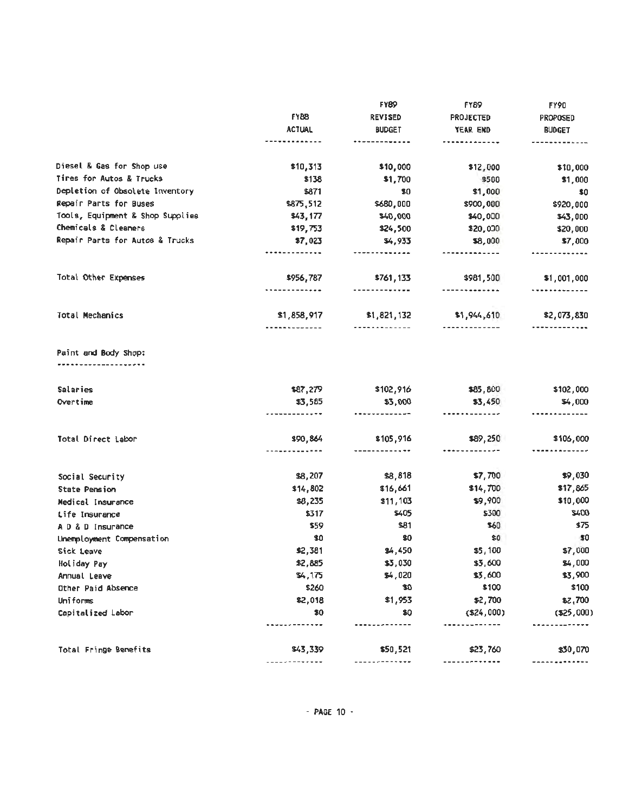|                                  | <b>FY88</b><br><b>ACTUAL</b><br><b></b> | <b>FY89</b>                | <b>FY89</b><br><b>PROJECTED</b> | <b>FY90</b><br><b>PROPOSED</b><br><b>BUDGET</b> |
|----------------------------------|-----------------------------------------|----------------------------|---------------------------------|-------------------------------------------------|
|                                  |                                         | <b>REVISED</b>             |                                 |                                                 |
|                                  |                                         | <b>BUDGET</b>              | YEAR END                        |                                                 |
|                                  |                                         | ------ <b>----</b>         | ----------                      |                                                 |
| Diesel & Gas for Shop use        | \$10,313                                | \$10,000                   | \$12,000                        | \$10,000                                        |
| Tires for Autos & Trucks         | \$138                                   | \$1,700                    | \$500                           | \$1,000                                         |
| Depletion of Obsolete Inventory  | \$871                                   | \$0                        | \$1,000                         | \$0                                             |
| Repair Parts for Buses           | \$875,512                               | \$680,000                  | \$900,000                       | \$920,000                                       |
| Tools, Equipment & Shop Supplies | \$43,177                                | \$40,000                   | \$40,000                        | \$43,000                                        |
| Chemicals & Cleaners             | \$19,753                                | \$24,500                   | \$20,000                        | \$20,000                                        |
| Repair Parts for Autos & Trucks  | \$7,023<br>                             | \$4,933<br>-------------   | \$8,000<br>-------------        | \$7,000                                         |
|                                  |                                         |                            |                                 |                                                 |
| Total Other Expenses             | \$956,787                               | \$761,133                  | \$981,500                       | \$1,001,000                                     |
|                                  | . . <i>.</i> .                          | --------- <b>----</b>      | -------------                   | <b>********</b> *****                           |
| <b>Total Mechanics</b>           | \$1,858,917                             | \$1,821,132                | \$1,944,610                     | \$2,073,830                                     |
|                                  | -----------                             | -------------              | -------------                   |                                                 |
| Paint and Body Shop:             |                                         |                            |                                 |                                                 |
|                                  |                                         |                            |                                 |                                                 |
| Salaries                         | \$87,279                                | \$102,916                  | \$85,800                        | \$102,000                                       |
| Overtime                         | \$3,585<br>. <b>.</b>                   | \$3,000<br>                | \$3,450                         | \$4,000                                         |
|                                  |                                         |                            |                                 |                                                 |
| Total Direct Labor               | \$90,864                                | \$105,916<br>------------- | \$89,250                        | \$106,000                                       |
|                                  |                                         |                            |                                 |                                                 |
| Social Security                  | \$8,207                                 | \$8,818                    | \$7,70                          | \$9,030                                         |
| <b>State Pension</b>             | \$14,802                                | \$16,661                   | \$14,700                        | \$17,865                                        |
| Medical Insurance                | \$8,235                                 | \$11,103                   | \$9,900                         | \$10,000                                        |
| Life Insurance                   | \$317                                   | \$405                      | \$300                           | \$400                                           |
| A D & D Insurance                | \$59                                    | \$81                       | \$60                            | \$75                                            |
| Unemployment Compensation        | \$0                                     | \$0                        | \$0                             | - 50                                            |
| Sick Leave                       | \$2,381                                 | \$4,450                    | \$5,100                         | \$7,000                                         |
| Holiday Pay                      | \$2,885                                 | \$3,030                    | \$3,600                         | \$4,000                                         |
| Annual Leave                     | \$4,175                                 | \$4,020                    | \$3,600                         | \$3,900                                         |
| Other Paid Absence               | \$260                                   | \$0                        | \$100                           | \$100                                           |
| Uniforms                         | \$2,018                                 | \$1,953                    | \$2,700                         | \$2,700                                         |
| Capitalized Labor                | \$0                                     | \$0                        | ( \$24,000)                     | ( \$25,000)                                     |
|                                  |                                         |                            |                                 |                                                 |
| Total Fringe Benefits            | \$43,339                                | \$50,521                   | \$23,760                        | \$30,070                                        |
|                                  |                                         |                            |                                 |                                                 |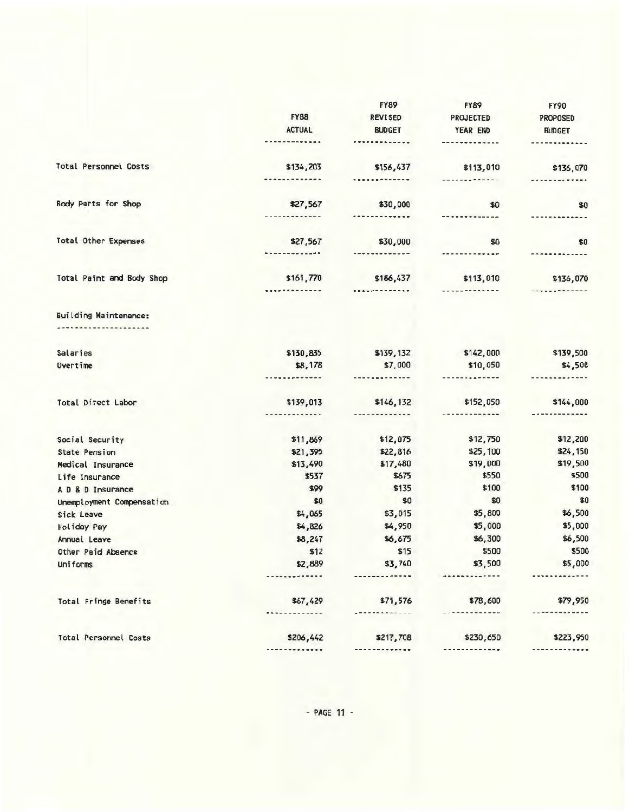|                              |                              | <b>FY89</b>                | <b>FY89</b>                | <b>FY90</b>   |
|------------------------------|------------------------------|----------------------------|----------------------------|---------------|
|                              | <b>FY88</b>                  | <b>REVISED</b>             | <b>PROJECTED</b>           | PROPOSED      |
|                              | <b>ACTUAL</b>                | <b>BUDGET</b>              | YEAR END                   | <b>BUDGET</b> |
|                              | --------                     | <b>***********</b>         | -------------              |               |
| Total Personnel Costs        | \$134,203                    | \$156,437                  | \$113,010                  | \$136,070     |
|                              | .                            | -------------              | ------------               | ************* |
| Body Parts for Shop          | \$27,567                     | \$30,000                   | \$0                        | \$0           |
|                              | -----------                  | -------------              | -------------              |               |
| <b>Total Other Expenses</b>  | \$27,567                     | \$30,000                   | \$0                        | \$0           |
|                              | ----- <del>-</del> -----     | -------------              | *************              | ------------- |
| Total Paint and Body Shop    | \$161,770                    | \$186,437                  | \$113,010                  | \$136,070     |
|                              |                              |                            | --------- <b>----</b>      |               |
| <b>Building Maintenance:</b> |                              |                            |                            |               |
| -----------------            |                              |                            |                            |               |
| Salaries                     | \$130,835                    | \$139,132                  | \$142,000                  | \$139,500     |
| Overtime                     | \$8,178<br><b>**********</b> | \$7,000<br>-------------   | \$10,050<br>-------------  | \$4,500       |
|                              |                              |                            |                            |               |
| Total Direct Labor           | \$139,013<br>-----------     | \$146,132<br>------------- | \$152,050<br>------------- | \$144,000     |
|                              |                              |                            |                            |               |
| Social Security              | \$11,869                     | \$12,075                   | \$12,750                   | \$12,200      |
| <b>State Pension</b>         | \$21,395                     | \$22,816                   | \$25,100                   | \$24,150      |
| Medical Insurance            | \$13,490                     | \$17,480                   | \$19,000                   | \$19,500      |
| Life Insurance               | \$537                        | \$675                      | \$550                      | \$500         |
| A D & D Insurance            | \$99                         | \$135                      | \$100                      | \$100         |
| Unemployment Compensation    | \$0                          | \$0                        | \$0                        | \$0           |
| Sick Leave                   | \$4,065                      | \$3,015                    | \$5,800                    | \$6,500       |
| Holiday Pay                  | \$4,826                      | \$4,950                    | \$5,000                    | \$5,000       |
| Annual Leave                 | \$8,247                      | \$6,675                    | \$6,300                    | \$6,500       |
| Other Paid Absence           | \$12                         | \$15                       | \$500                      | \$500         |
| Uniforms                     | \$2,889                      | \$3,740                    | \$3,500                    | \$5,000       |
|                              |                              |                            |                            |               |
| Total Fringe Benefits        | \$67,429                     | \$71,576                   | \$78,600                   | \$79,950      |
|                              |                              |                            |                            |               |
| Total Personnel Costs        | \$206,442                    | \$217,708                  | \$230,650                  | \$223,950     |
|                              |                              |                            |                            |               |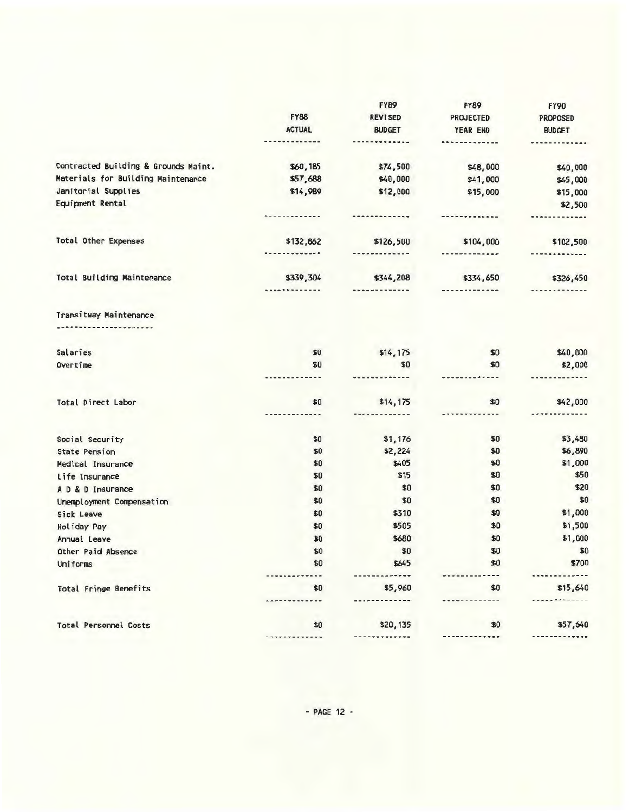|                                        |                    | <b>FY89</b>    | <b>FY89</b>            | <b>FY90</b>   |
|----------------------------------------|--------------------|----------------|------------------------|---------------|
|                                        | <b>FY88</b>        | <b>REVISED</b> | <b>PROJECTED</b>       | PROPOSED      |
|                                        | <b>ACTUAL</b>      | <b>BUDGET</b>  | YEAR END               | <b>BUDGET</b> |
|                                        | *********          | -----------    | .                      | ************* |
| Contracted Building & Grounds Maint.   | \$60,185           | \$74,500       | \$48,000               | \$40,000      |
| Materials for Building Maintenance     | \$57,688           | \$40,000       | \$41,000               | \$45,000      |
| Janitorial Supplies                    | \$14,989           | \$12,000       | \$15,000               | \$15,000      |
| Equipment Rental                       |                    |                |                        | \$2,500       |
|                                        | --------- <b>-</b> |                | -------------          |               |
| <b>Total Other Expenses</b>            | \$132,862          | \$126,500      | \$104,000              | \$102,500     |
|                                        | . <del>.</del>     | -------------  | <b>*************</b>   | ------------- |
| Total Building Maintenance             | \$339,304          | \$344,208      | \$334,650              | \$326,450     |
|                                        |                    | <b></b>        | -------- <b>---</b> -- |               |
| Transitway Maintenance<br>. <i>.</i> . |                    |                |                        |               |
| Salaries                               | \$0                | \$14, 175      | \$0                    | \$40,000      |
| Overtime                               | \$0                | \$0            | \$0                    | \$2,000       |
|                                        |                    |                |                        |               |
| Total Direct Labor                     | \$0                | \$14, 175      | \$0                    | \$42,000      |
|                                        | . <u>.</u> .       |                | .                      |               |
| Social Security                        | \$0                | \$1,176        | \$0                    | \$3,480       |
| <b>State Pension</b>                   | \$0                | \$2,224        | \$0                    | \$6,890       |
| Medical Insurance                      | \$0                | \$405          | \$0                    | \$1,000       |
| Life Insurance                         | \$0                | \$15           | \$0                    | \$50          |
| A D & D Insurance                      | \$0                | \$0            | \$0                    | \$20          |
| Unemployment Compensation              | \$0                | \$0            | \$0                    | \$0           |
| Sick Leave                             | \$0                | \$310          | \$0                    | \$1,000       |
| Holiday Pay                            | \$0                | \$505          | \$0                    | \$1,500       |
| Annual Leave                           | \$0                | \$680          | \$0                    | \$1,000       |
| Other Paid Absence                     | \$0                | \$0            | \$0                    | \$0           |
| Uniforms                               | \$0                | \$645          | \$0                    | \$700         |
| <b>Total Fringe Benefits</b>           | \$0                | \$5,960        | \$0                    | \$15,640      |
|                                        |                    |                |                        |               |
| <b>Total Personnel Costs</b>           | \$0                | \$20,135       | \$0                    | \$57,640      |
|                                        |                    |                |                        |               |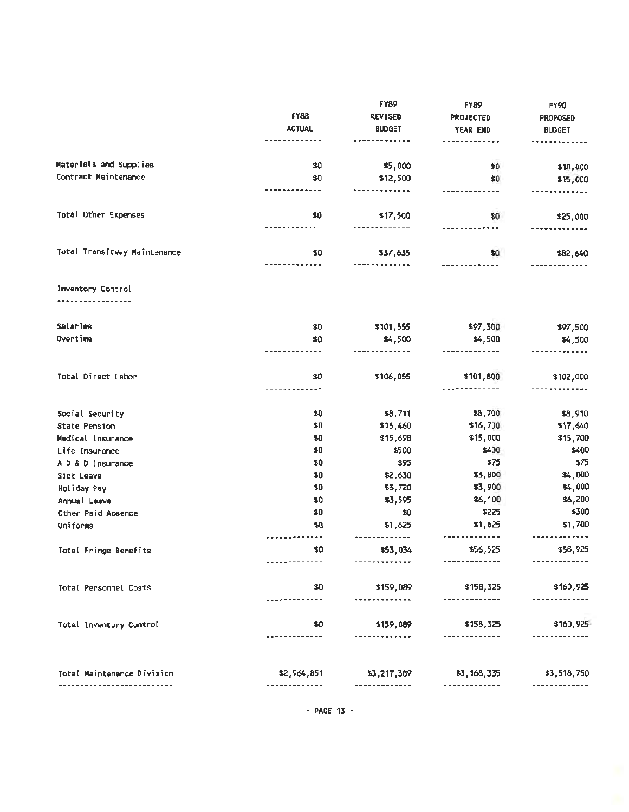|                              | <b>FY88</b>   | <b>FY89</b>               | FYB9<br>PROJECTED      | <b>FY90</b><br><b>PROPOSED</b> |
|------------------------------|---------------|---------------------------|------------------------|--------------------------------|
|                              |               | <b>REVISED</b>            |                        |                                |
|                              | <b>ACTUAL</b> | <b>BUDGET</b>             | YEAR END               | <b>BUDGET</b>                  |
|                              |               |                           |                        |                                |
| Materials and Supplies       | \$0           | \$5,000                   | \$0                    | \$10,000                       |
| Contract Maintenance         | \$0           | \$12,500                  | \$0                    | \$15,000                       |
|                              |               | . <del>.</del> <b>.</b> . |                        |                                |
| Total Other Expenses         | \$0           | \$17,500                  | \$0                    | \$25,000                       |
|                              |               |                           | <b></b>                |                                |
| Total Transitway Maintenance | \$0           | \$37,635                  | \$0                    | \$82,640                       |
|                              |               |                           |                        |                                |
| Inventory Control            |               |                           |                        |                                |
|                              |               |                           |                        |                                |
| Salaries                     | \$0           | \$101,555                 | \$97,300               | \$97,500                       |
| Overtime                     | \$0           | \$4,500                   | \$4,500                | \$4,500                        |
|                              |               |                           |                        |                                |
| Total Direct Labor           | \$0           | \$106,055                 | \$101,800              | \$102,000                      |
|                              |               |                           |                        |                                |
| Social Security              | \$0           | \$8,711                   | \$8,700                | \$8,910                        |
| <b>State Pension</b>         | \$0           | \$16,460                  | \$16,700               | \$17,640                       |
| Medical Insurance            | \$0           | \$15,698                  | \$15,000               | \$15,700                       |
| Life Insurance               | \$0           | \$500                     | \$400                  | \$400                          |
| A D & D Insurance            | \$0           | \$95                      | \$75                   | \$75                           |
| Sick Leave                   | \$0           | \$2,630                   | \$3,800                | \$4,000                        |
| Holiday Pay                  | \$0           | \$3,720                   | \$3,900                | \$4,000                        |
| Annual Leave                 | \$0           | \$3,595                   | \$6,100                | \$6,200                        |
| Other Paid Absence           | \$0           | \$0                       | \$225                  | \$300                          |
| Uniforms                     | \$0           | \$1,625                   | \$1,625                | \$1,700                        |
| Total Fringe Benefits        | \$0           | ---------<br>\$53,034     | . <b>.</b><br>\$56,525 | <br>\$58,925                   |
|                              | -----------   | ------------ <i>-</i>     |                        | -------------                  |
| Total Personnel Costs        | \$0           | \$159,089                 | \$158,325              | \$160,925                      |
|                              |               | --------------            | -----------            | --------------                 |
| Total Inventory Control      | 80            | \$159,089                 | \$158,325              | \$160,925                      |
|                              | .             | -------------             |                        | -------------                  |
|                              |               |                           |                        |                                |
| Total Maintenance Division   | \$2,964,851   | \$3,217,389               | \$3,168,335            | \$3,518,750                    |
|                              | ------------  | -------------             |                        | -----------                    |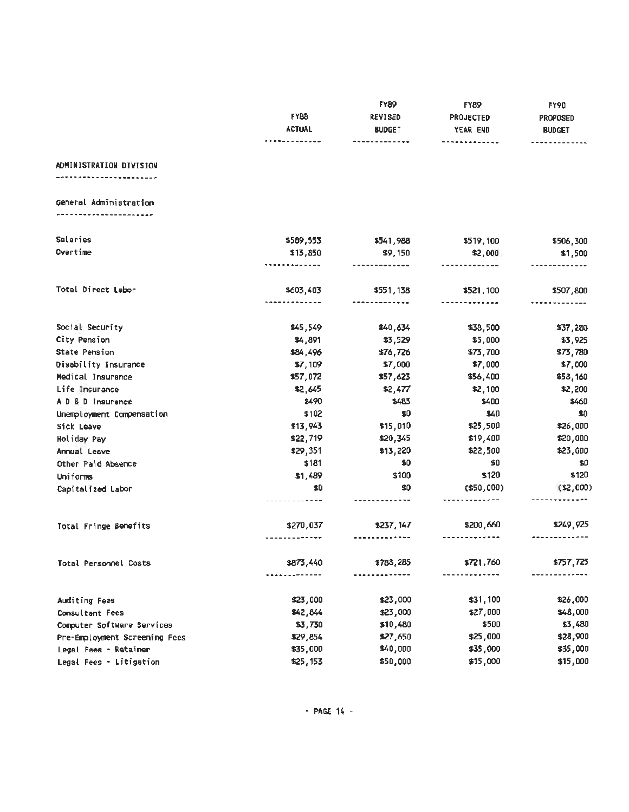|                               | <b>FY88</b><br><b>ACTUAL</b><br><b>----------</b> | <b>FY89</b><br><b>REVISED</b><br><b>BUDGET</b><br>------------- | FYB9<br><b>PROJECTED</b><br>YEAR END<br>------------- | <b>FY90</b><br><b>PROPOSED</b><br><b>BUDGET</b><br>. |
|-------------------------------|---------------------------------------------------|-----------------------------------------------------------------|-------------------------------------------------------|------------------------------------------------------|
| ADMINISTRATION DIVISION       |                                                   |                                                                 |                                                       |                                                      |
| General Administration        |                                                   |                                                                 |                                                       |                                                      |
| Salaries                      | \$589,553                                         | \$541,988                                                       | \$519,100                                             | \$506,300                                            |
| Overtime                      | \$13,850                                          | \$9,150<br>-------------                                        | \$2,000                                               | \$1,500<br><b></b>                                   |
| Total Direct Labor            | \$603,403                                         | \$551,138                                                       | \$521,100                                             | \$507,800                                            |
|                               |                                                   | -------------                                                   | -------------                                         |                                                      |
| Social Security               | 845,549                                           | \$40,634                                                        | \$38,500                                              | \$37,280                                             |
| City Pension                  | \$4,891                                           | \$3,529                                                         | \$5,000                                               | \$3,925                                              |
| State Pension                 | \$84,496                                          | \$76,726                                                        | \$73,700                                              | \$73,780                                             |
| Disability Insurance          | \$7,109                                           | \$7,000                                                         | \$7,000                                               | \$7,000                                              |
| Medical Insurance             | \$57,072                                          | \$57,623                                                        | \$56,400                                              | \$58,160                                             |
| Life Insurance                | \$2,645                                           | \$2,477                                                         | \$2,100                                               | \$2,200                                              |
| A D & D Insurance             | \$490                                             | \$483                                                           | \$400                                                 | \$460                                                |
| Unemployment Compensation     | \$102                                             | \$0                                                             | \$40                                                  | \$0                                                  |
| Sick Leave                    | \$13,943                                          | \$15,010                                                        | \$25,500                                              | \$26,000                                             |
| Holiday Pay                   | \$22,719                                          | \$20,345                                                        | \$19,400                                              | \$20,000                                             |
| Annual Leave                  | \$29,351                                          | \$13,220                                                        | \$22,500                                              | \$23,000                                             |
| Other Paid Absence            | \$181                                             | \$0                                                             | \$0                                                   | \$0                                                  |
| Uniforms                      | \$1,489                                           | \$100                                                           | \$120                                                 | \$120                                                |
| Capitalized Labor             | \$0<br>-----------                                | \$0                                                             | $($ \$50,000 $)$<br>-------------                     | (12,000)                                             |
| Total Fringe Benefits         | \$270,037<br>-----------                          | \$237,147                                                       | \$200,660                                             | \$249,925                                            |
| Total Personnel Costs         | \$873,440                                         | \$788,285                                                       | \$721,760                                             | \$757,725                                            |
|                               | .                                                 | -----------                                                     | --------- <b>---</b> -                                |                                                      |
| Auditing Fees                 | \$23,000                                          | \$23,000                                                        | \$31,100                                              | \$26,000                                             |
| Consultant Fees               | \$42,844                                          | \$23,000                                                        | \$27,000                                              | \$48,000                                             |
| Computer Software Services    | \$3,730                                           | \$10,480                                                        | \$500                                                 | \$3,480                                              |
| Pre-Employment Screening Fees | \$29,854                                          | \$27,650                                                        | \$25,000                                              | \$28,900                                             |
| Legal Fees - Retainer         | \$35,000                                          | \$40,000                                                        | \$35,000                                              | \$35,000                                             |
| Legal Fees - Litigation       | \$25,153                                          | \$50,000                                                        | \$15,000                                              | \$15,000                                             |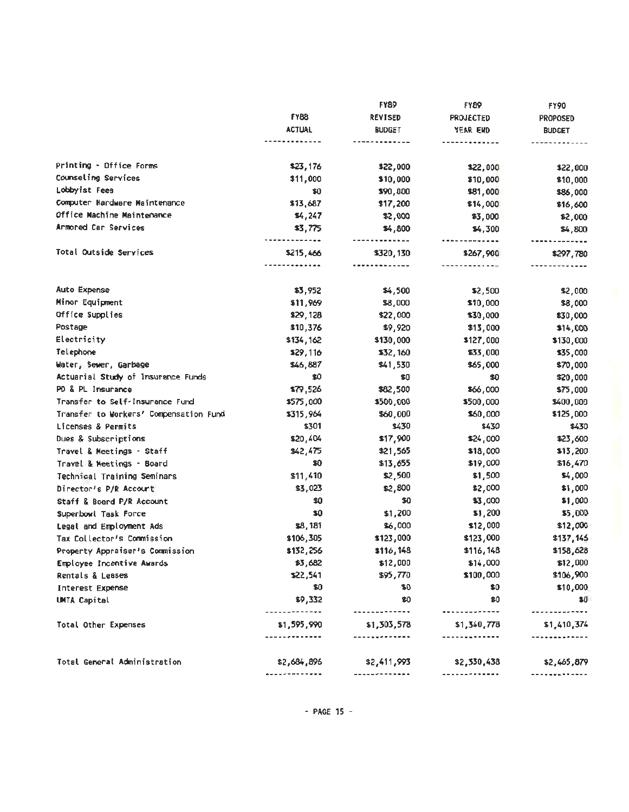|                                        |                               | <b>FY89</b>                     | <b>FY89</b>                                    | <b>FY90</b>          |
|----------------------------------------|-------------------------------|---------------------------------|------------------------------------------------|----------------------|
|                                        | <b>FY88</b>                   | <b>REVISED</b>                  | <b>PROJECTED</b>                               | <b>PROPOSED</b>      |
|                                        | <b>ACTUAL</b>                 | <b>BUDGET</b>                   | YEAR END                                       | <b>BUDGET</b>        |
|                                        |                               |                                 | -----------                                    |                      |
| Printing - Office Forms                | \$23,176                      | \$22,000                        | \$22,000                                       | \$22,000             |
| Counseling Services                    | \$11,000                      | \$10,000                        | \$10,000                                       | \$10,000             |
| Lobbyist Fees                          | \$0                           | \$90,000                        | \$81,000                                       | \$86,000             |
| Computer Hardware Maintenance          | \$13,687                      | \$17,200                        | \$14,000                                       | \$16,600             |
| Office Machine Maintenance             | <b>s4,247</b>                 | \$2,000                         | \$3,000                                        | \$2,000              |
| Armored Car Services                   | \$3,775                       | \$4,800                         | \$4,300                                        | \$4,800              |
| Total Outside Services                 | <br>\$215,466<br>----------   | -------------<br>\$320,130<br>. | <i></i><br>\$267,900<br>------ <b>------</b> - | <b></b><br>\$297,780 |
|                                        |                               |                                 |                                                |                      |
| Auto Expense                           | \$3,952                       | \$4,500                         | \$2,500                                        | \$2,000              |
| Minor Equipment                        | \$11,969                      | \$8,000                         | \$10,000                                       | \$8,000              |
| Office Supplies                        | \$29,128                      | \$22,000                        | \$30,000                                       | \$30,000             |
| Postage                                | \$10,376                      | \$9,920                         | \$13,000                                       | \$14,000             |
| Electricity                            | \$134,162                     | \$130,000                       | \$127,000                                      | \$130,000            |
| Telephone                              | \$29,116                      | \$32,160                        | \$33,000                                       | \$35,000             |
| Water, Sewer, Garbage                  | \$46,887                      | \$41,530                        | \$65,000                                       | \$70,000             |
| Actuarial Study of Insurance Funds     | \$0                           | \$0                             | \$0                                            | \$20,000             |
| PD & PL Insurance                      | \$79,526                      | \$82,500                        | \$66,000                                       | \$75,000             |
| Transfer to Self-Insurance Fund        | \$575,000                     | \$500,000                       | \$500,000                                      | \$400,000            |
| Transfer to Workers' Compensation Fund | \$315,964                     | \$60,000                        | \$60,000                                       | \$125,000            |
| Licenses & Permits                     | \$301                         | \$430                           | \$430                                          | \$430                |
| Dues & Subscriptions                   | \$20,404                      | \$17,900                        | \$24,000                                       | \$23,600             |
| Travel & Meetings - Staff              | \$42,475                      | \$21,565                        | \$18,000                                       | \$13,200             |
| Travel & Meetings - Board              | \$0                           | \$13,655                        | \$19,000                                       | \$16,470             |
| Technical Training Seminars            | \$11,410                      | \$2,500                         | \$1,500                                        | \$4,000              |
| Director's P/R Account                 | \$3,023                       | \$2,800                         | \$2,000                                        | \$1,000              |
| Staff & Board P/R Account              | \$0                           | \$0                             | \$3,000                                        | \$1,000              |
| Superbowl Task Force                   | \$0                           | \$1,200                         | \$1,200                                        | \$5,000              |
| Legal and Employment Ads               | \$8,181                       | \$6,000                         | \$12,000                                       | \$12,001             |
| Tax Collector's Commission             | \$106,305                     | \$123,000                       | \$123,000                                      | \$137,143            |
| Property Appraiser's Commission        | \$132,256                     | \$116,148                       | \$116,148                                      | \$158,626            |
| Employee Incentive Awards              | \$3,682                       | \$12,000                        | \$14,000                                       | \$12,000             |
| Rentals & Leases                       | \$22,541                      | \$95,770                        | \$100,000                                      | \$106,900            |
| Interest Expense                       | \$0                           | \$0                             | \$0                                            | \$10,000             |
| UMTA Capital                           | \$9,332<br>-----------        | \$0<br><b>.</b>                 | \$0<br>-------------                           | 51.<br><i></i>       |
| Total Other Expenses                   | \$1,595,990                   | \$1,303,578<br>-------------    | \$1,340,778<br>----- <b>-------</b> -          | \$1,410,374          |
|                                        |                               | \$2,411,993                     | \$2,330,438                                    | \$2,465,879          |
| Total General Administration           | \$2,684,896<br>. <b>. .</b> . |                                 | -------------                                  |                      |
|                                        |                               |                                 |                                                |                      |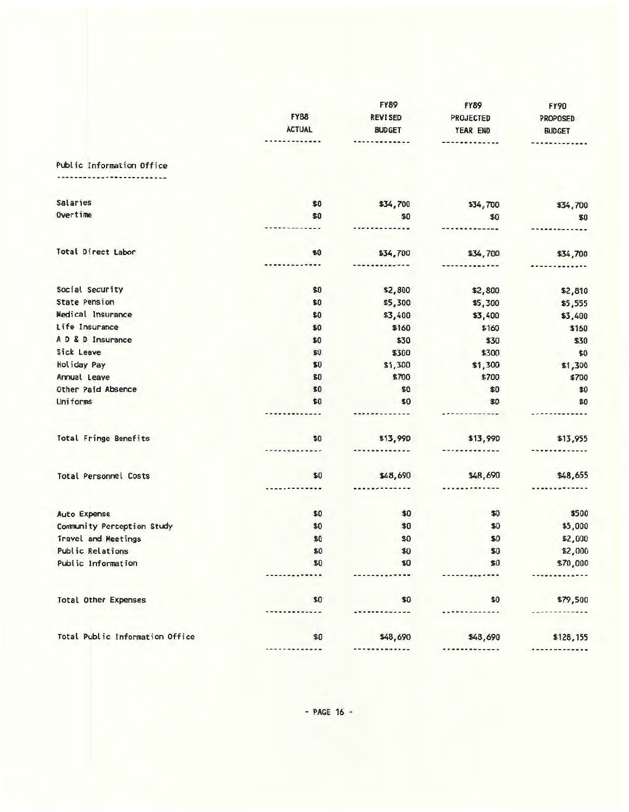|                                 |                 | <b>FY89</b>    | <b>FY89</b>  | <b>FY90</b>             |
|---------------------------------|-----------------|----------------|--------------|-------------------------|
|                                 | <b>FY88</b>     | <b>REVISED</b> | PROJECTED    | PROPOSED                |
|                                 | <b>ACTUAL</b>   | <b>BUDGET</b>  | YEAR END     | <b>BUDGET</b>           |
|                                 | <b></b>         | ----------     | -----------  | $- - - - -$             |
| Public Information Office       |                 |                |              |                         |
| --------------------            |                 |                |              |                         |
| <b>Salaries</b>                 | \$0             | \$34,700       | \$34,700     | \$34,700                |
| Overtime                        | \$0             | \$0            | \$0          | \$0                     |
|                                 |                 |                |              |                         |
| Total Direct Labor              | \$0             | \$34,700       | \$34,700     | \$34,700                |
|                                 | ---             |                |              |                         |
| Social Security                 | \$0             | \$2,800        | \$2,800      | \$2,810                 |
| <b>State Pension</b>            | \$0             | \$5,300        | \$5,300      | \$5,555                 |
| Medical Insurance               | \$0             | \$3,400        | \$3,400      | \$3,400                 |
| Life Insurance                  | \$0             | \$160          | \$160        | \$160                   |
| A D & D Insurance               | \$0             | \$30           | \$30         | \$30                    |
| Sick Leave                      | \$0             | \$300          | \$300        | \$0                     |
| Holiday Pay                     | \$0             | \$1,300        | \$1,300      | \$1,300                 |
| Annual Leave                    | \$0             | \$700          | \$700        | \$700                   |
| Other Paid Absence              | \$0             | \$0            | \$0          | \$0                     |
| Uniforms                        | \$0             | \$0            | \$D          | \$0                     |
|                                 |                 |                | ----------   |                         |
| <b>Total Fringe Benefits</b>    | \$0             | \$13,990       | \$13,99D     | \$13,955                |
|                                 |                 |                |              |                         |
| Total Personnel Costs           | \$0             | \$48,690       | \$48,690     | \$48,655                |
|                                 |                 |                |              |                         |
| Auto Expense                    | \$0             | \$0            | \$0          | \$500                   |
| Community Perception Study      | \$0             | \$0            | \$0          | \$5,000                 |
| Travel and Meetings             | \$0             | \$0            | \$0          | \$2,000                 |
| Public Relations                | \$0             | \$0            | \$0          | \$2,000                 |
| Public Information              | \$0             | \$0            | \$0          | \$70,000                |
|                                 |                 |                |              |                         |
| <b>Total Other Expenses</b>     | \$0<br>$- - -$  | \$0            | \$0          | \$79,500                |
|                                 |                 |                |              |                         |
| Total Public Information Office | \$0<br>-------- | \$48,690<br>   | \$48,690<br> | \$128,155<br>---------- |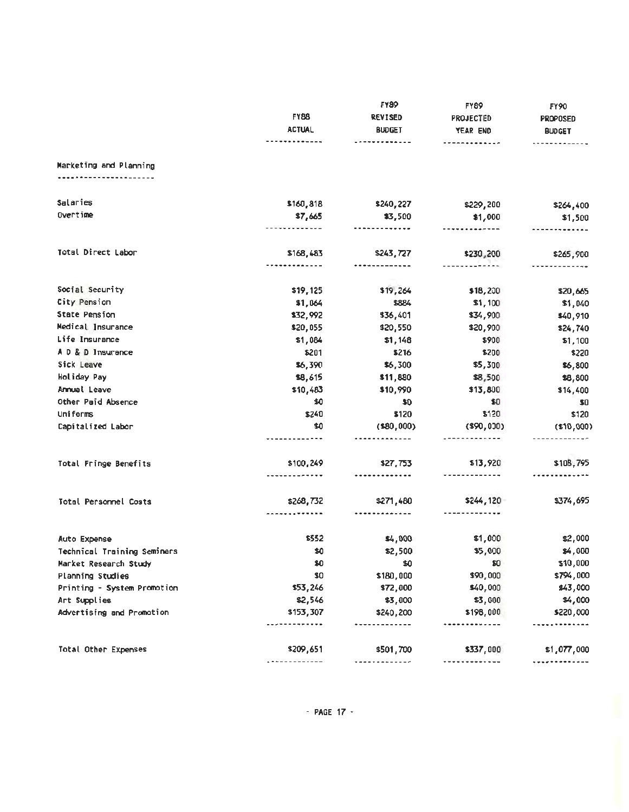|                             |                      | <b>FY89</b>          | <b>FY89</b>   | <b>FY90</b>     |
|-----------------------------|----------------------|----------------------|---------------|-----------------|
|                             | <b>FY88</b>          | <b>REVISED</b>       | PROJECTED     | <b>PROPOSED</b> |
|                             | <b>ACTUAL</b>        | <b>BUDGET</b>        | YEAR END      | <b>BUDGET</b>   |
|                             | -------------        | -------------        | ------------- | -------------   |
| Marketing and Planning      |                      |                      |               |                 |
|                             |                      |                      |               |                 |
| Salaries                    | \$160,818            | \$240,227            | \$229,200     | \$264,400       |
| Overtime                    | \$7,665              | \$3,500              | \$1,000       | \$1,500         |
|                             | <b></b>              | -------------        | ------------- | -------------   |
| Total Direct Labor          | \$168,483            | \$243,727            | \$230,200     | \$265,900       |
|                             |                      | -----------          | ------------- | -------------   |
| Social Security             | \$19,125             | \$19,264             | \$18,200      | \$20,665        |
| City Pension                | \$1,064              | \$884                | \$1,100       | \$1,040         |
| State Pension               | \$32,992             | \$36,401             | \$34,900      | \$40,910        |
| Medical Insurance           | \$20,055             | \$20,550             | \$20,900      | \$24,740        |
| Life Insurance              | \$1,084              | \$1,148              | \$900         | \$1,100         |
| A D & D Insurance           | \$201                | \$216                | \$200         | \$220           |
| Sick Leave                  | \$6,390              | \$6,300              | \$5,300       | \$6,800         |
| Holiday Pay                 | \$8,615              | \$11,880             | \$8,500       | \$8,800         |
| Armuel Leave                | \$10,483             | \$10,990             | \$13,800      | \$14,400        |
| Other Paid Absence          | \$0                  | \$0                  | \$0           | \$0             |
| <b>Uniforms</b>             | \$240                | \$120                | \$120         | \$120           |
| Capitalized Labor           | \$0                  | (580,000)            | $($ \$90,000) | (510,000)       |
|                             |                      |                      | ------------- |                 |
| Total Fringe Benefits       | \$100,249            | \$27,753             | \$13,920      | \$108,795       |
|                             |                      | -------------        |               |                 |
| Total Personnel Costs       | \$268,732            | \$271,480            | \$244,120     | \$374,695       |
|                             |                      | -------------        |               |                 |
| Auto Expense                | \$552                | \$4,000              | \$1,000       | \$2,000         |
| Technical Training Seminars | \$0                  | \$2,500              | \$5,000       | \$4,000         |
| Market Research Study       | \$0                  | \$0                  | \$0           | \$10,000        |
| Planning Studies            | \$0                  | \$180,000            | \$90,000      | \$794,000       |
| Printing - System Promotion | \$53,246             | \$72,000             | \$40,000      | \$43,000        |
| Art Supplies                | \$2,546              | \$3,000              | \$3,000       | \$4,000         |
| Advertising and Promotion   | \$153,307<br>------- | \$240,200<br>------- | \$198,000<br> | \$220,000       |
|                             |                      |                      |               |                 |
| Total Other Expenses        | \$209,651            | \$501,700            | \$337,000<br> | \$1,077,000     |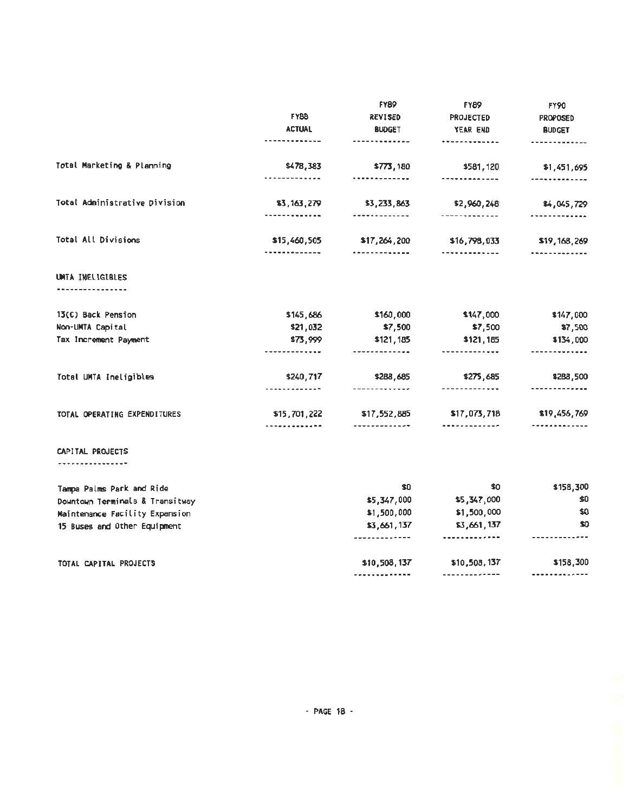|                                  |                                     | <b>FYB9</b>                  | <b>FY89</b>                   | <b>FY90</b>                |
|----------------------------------|-------------------------------------|------------------------------|-------------------------------|----------------------------|
|                                  | <b>FY88</b>                         | <b>REVISED</b>               | PROJECTED                     | <b>PROPOSED</b>            |
|                                  | <b>ACTUAL</b>                       | <b>BUDGET</b>                | YEAR END                      | <b>BUDGET</b>              |
|                                  | -------------                       | -------------                | -------------                 | ------- <b>----</b> --     |
| Total Marketing & Planning       | \$478,383                           | \$773,180                    | \$581,120                     | \$1,451,695                |
|                                  | . . <i>.</i> .                      | <b></b>                      | -------------                 |                            |
| Total Administrative Division    | \$3,163,279<br><b></b>              | \$3,233,863<br>------------- | \$2,960,248<br>-------------  | \$4,045,729                |
|                                  |                                     |                              |                               |                            |
| <b>Total All Divisions</b>       | \$15,460,505<br>-------------       | \$17,264,200<br><u></u>      | \$16,798,033<br>------------- | \$19,168,269<br><b></b>    |
| UMTA INELIGIBLES<br>. <i>. .</i> |                                     |                              |                               |                            |
|                                  |                                     |                              |                               |                            |
| 13(C) Back Pension               | \$145,686                           | \$160,000                    | \$147,000                     | \$147,000                  |
| Non-UMTA Capital                 | \$21,032                            | \$7,500                      | \$7,500                       | \$7,500                    |
| Tax Increment Payment            | \$73,999<br>---------- <b>---</b> - | \$121,185<br>--------------  | \$121,185<br>-------------    | \$134,000<br>------------- |
| Total UMTA Ineligibles           | \$240,717                           | \$288,685                    | \$275,685                     | \$288,500                  |
|                                  | -------------                       | -------------                | -------------                 | -------------              |
| TOTAL OPERATING EXPENDITURES     | \$15,701,222                        | \$17,552,885                 | \$17,073,718                  | \$19,456,769               |
|                                  | . . <i>. .</i>                      | -------------                | <b></b>                       | -----------                |
| CAPITAL PROJECTS<br>.            |                                     |                              |                               |                            |
| Tampa Palms Park and Ride        |                                     | \$0                          | \$0                           | \$158,300                  |
| Downtown Terminals & Transitway  |                                     | \$5,347,000                  | \$5,347,000                   | \$0                        |
| Maintenance Facility Expansion   |                                     | \$1,500,000                  | \$1,500,000                   | \$0                        |
| 15 Buses and Other Equipment     |                                     | \$3,661,137                  | \$3,661,137                   | \$0                        |
|                                  |                                     | -------------                |                               |                            |
| TOTAL CAPITAL PROJECTS           |                                     | \$10,508,137                 | \$10,508,137                  | \$158,300                  |
|                                  |                                     | -------------                |                               | -------------              |